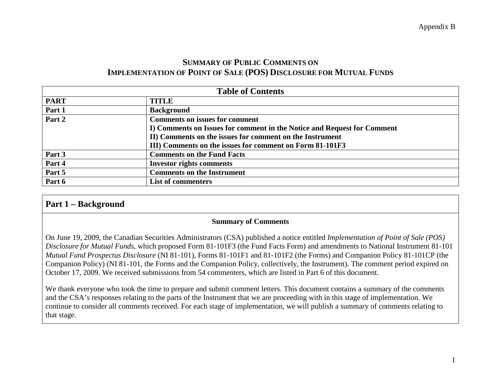# **SUMMARY OF PUBLIC COMMENTS ON IMPLEMENTATION OF POINT OF SALE (POS) DISCLOSURE FOR MUTUAL FUNDS**

|             | <b>Table of Contents</b>                                                |
|-------------|-------------------------------------------------------------------------|
| <b>PART</b> | <b>TITLE</b>                                                            |
| Part 1      | <b>Background</b>                                                       |
| Part 2      | <b>Comments on issues for comment</b>                                   |
|             | I) Comments on Issues for comment in the Notice and Request for Comment |
|             | II) Comments on the issues for comment on the Instrument                |
|             | III) Comments on the issues for comment on Form 81-101F3                |
| Part 3      | <b>Comments on the Fund Facts</b>                                       |
| Part 4      | <b>Investor rights comments</b>                                         |
| Part 5      | <b>Comments on the Instrument</b>                                       |
| Part 6      | <b>List of commenters</b>                                               |

# **Part 1 – Background**

#### **Summary of Comments**

On June 19, 2009, the Canadian Securities Administrators (CSA) published a notice entitled *Implementation of Point of Sale (POS) Disclosure for Mutual Funds*, which proposed Form 81-101F3 (the Fund Facts Form) and amendments to National Instrument 81-101 *Mutual Fund Prospectus Disclosure* (NI 81-101), Forms 81-101F1 and 81-101F2 (the Forms) and Companion Policy 81-101CP (the Companion Policy) (NI 81-101, the Forms and the Companion Policy, collectively, the Instrument). The comment period expired on October 17, 2009. We received submissions from 54 commenters, which are listed in Part 6 of this document.

We thank everyone who took the time to prepare and submit comment letters. This document contains a summary of the comments and the CSA's responses relating to the parts of the Instrument that we are proceeding with in this stage of implementation. We continue to consider all comments received. For each stage of implementation, we will publish a summary of comments relating to that stage.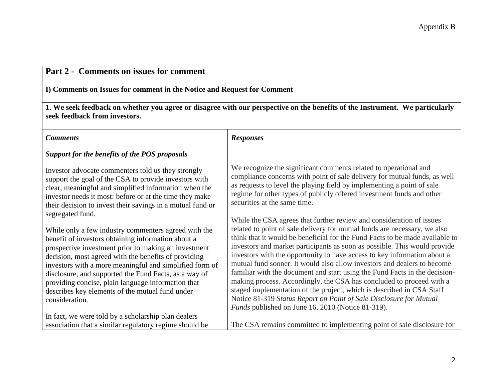| Part 2 - Comments on issues for comment                                                                                                                                                                                                                                                                                                                                                                                                                                   |                                                                                                                                                                                                                                                                                                                                                                                                                                                                                                                                                                                                                                                                                                                                                                                                                                 |
|---------------------------------------------------------------------------------------------------------------------------------------------------------------------------------------------------------------------------------------------------------------------------------------------------------------------------------------------------------------------------------------------------------------------------------------------------------------------------|---------------------------------------------------------------------------------------------------------------------------------------------------------------------------------------------------------------------------------------------------------------------------------------------------------------------------------------------------------------------------------------------------------------------------------------------------------------------------------------------------------------------------------------------------------------------------------------------------------------------------------------------------------------------------------------------------------------------------------------------------------------------------------------------------------------------------------|
| I) Comments on Issues for comment in the Notice and Request for Comment                                                                                                                                                                                                                                                                                                                                                                                                   |                                                                                                                                                                                                                                                                                                                                                                                                                                                                                                                                                                                                                                                                                                                                                                                                                                 |
| seek feedback from investors.                                                                                                                                                                                                                                                                                                                                                                                                                                             | 1. We seek feedback on whether you agree or disagree with our perspective on the benefits of the Instrument. We particularly                                                                                                                                                                                                                                                                                                                                                                                                                                                                                                                                                                                                                                                                                                    |
| <b>Comments</b>                                                                                                                                                                                                                                                                                                                                                                                                                                                           | <b>Responses</b>                                                                                                                                                                                                                                                                                                                                                                                                                                                                                                                                                                                                                                                                                                                                                                                                                |
| Support for the benefits of the POS proposals                                                                                                                                                                                                                                                                                                                                                                                                                             |                                                                                                                                                                                                                                                                                                                                                                                                                                                                                                                                                                                                                                                                                                                                                                                                                                 |
| Investor advocate commenters told us they strongly<br>support the goal of the CSA to provide investors with<br>clear, meaningful and simplified information when the<br>investor needs it most: before or at the time they make<br>their decision to invest their savings in a mutual fund or<br>segregated fund.                                                                                                                                                         | We recognize the significant comments related to operational and<br>compliance concerns with point of sale delivery for mutual funds, as well<br>as requests to level the playing field by implementing a point of sale<br>regime for other types of publicly offered investment funds and other<br>securities at the same time.                                                                                                                                                                                                                                                                                                                                                                                                                                                                                                |
| While only a few industry commenters agreed with the<br>benefit of investors obtaining information about a<br>prospective investment prior to making an investment<br>decision, most agreed with the benefits of providing<br>investors with a more meaningful and simplified form of<br>disclosure, and supported the Fund Facts, as a way of<br>providing concise, plain language information that<br>describes key elements of the mutual fund under<br>consideration. | While the CSA agrees that further review and consideration of issues<br>related to point of sale delivery for mutual funds are necessary, we also<br>think that it would be beneficial for the Fund Facts to be made available to<br>investors and market participants as soon as possible. This would provide<br>investors with the opportunity to have access to key information about a<br>mutual fund sooner. It would also allow investors and dealers to become<br>familiar with the document and start using the Fund Facts in the decision-<br>making process. Accordingly, the CSA has concluded to proceed with a<br>staged implementation of the project, which is described in CSA Staff<br>Notice 81-319 Status Report on Point of Sale Disclosure for Mutual<br>Funds published on June 16, 2010 (Notice 81-319). |
| In fact, we were told by a scholarship plan dealers<br>association that a similar regulatory regime should be                                                                                                                                                                                                                                                                                                                                                             | The CSA remains committed to implementing point of sale disclosure for                                                                                                                                                                                                                                                                                                                                                                                                                                                                                                                                                                                                                                                                                                                                                          |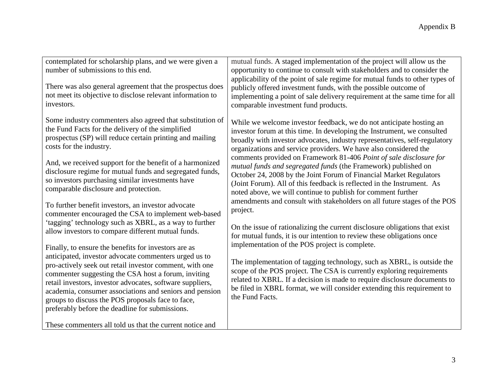| contemplated for scholarship plans, and we were given a<br>number of submissions to this end.<br>There was also general agreement that the prospectus does<br>not meet its objective to disclose relevant information to<br>investors.                                                                                                                                                                                                                          | mutual funds. A staged implementation of the project will allow us the<br>opportunity to continue to consult with stakeholders and to consider the<br>applicability of the point of sale regime for mutual funds to other types of<br>publicly offered investment funds, with the possible outcome of<br>implementing a point of sale delivery requirement at the same time for all<br>comparable investment fund products. |
|-----------------------------------------------------------------------------------------------------------------------------------------------------------------------------------------------------------------------------------------------------------------------------------------------------------------------------------------------------------------------------------------------------------------------------------------------------------------|-----------------------------------------------------------------------------------------------------------------------------------------------------------------------------------------------------------------------------------------------------------------------------------------------------------------------------------------------------------------------------------------------------------------------------|
| Some industry commenters also agreed that substitution of<br>the Fund Facts for the delivery of the simplified<br>prospectus (SP) will reduce certain printing and mailing<br>costs for the industry.                                                                                                                                                                                                                                                           | While we welcome investor feedback, we do not anticipate hosting an<br>investor forum at this time. In developing the Instrument, we consulted<br>broadly with investor advocates, industry representatives, self-regulatory<br>organizations and service providers. We have also considered the                                                                                                                            |
| And, we received support for the benefit of a harmonized<br>disclosure regime for mutual funds and segregated funds,<br>so investors purchasing similar investments have<br>comparable disclosure and protection.                                                                                                                                                                                                                                               | comments provided on Framework 81-406 Point of sale disclosure for<br>mutual funds and segregated funds (the Framework) published on<br>October 24, 2008 by the Joint Forum of Financial Market Regulators<br>(Joint Forum). All of this feedback is reflected in the Instrument. As<br>noted above, we will continue to publish for comment further                                                                        |
| To further benefit investors, an investor advocate<br>commenter encouraged the CSA to implement web-based                                                                                                                                                                                                                                                                                                                                                       | amendments and consult with stakeholders on all future stages of the POS<br>project.                                                                                                                                                                                                                                                                                                                                        |
| 'tagging' technology such as XBRL, as a way to further<br>allow investors to compare different mutual funds.                                                                                                                                                                                                                                                                                                                                                    | On the issue of rationalizing the current disclosure obligations that exist<br>for mutual funds, it is our intention to review these obligations once                                                                                                                                                                                                                                                                       |
| Finally, to ensure the benefits for investors are as<br>anticipated, investor advocate commenters urged us to<br>pro-actively seek out retail investor comment, with one<br>commenter suggesting the CSA host a forum, inviting<br>retail investors, investor advocates, software suppliers,<br>academia, consumer associations and seniors and pension<br>groups to discuss the POS proposals face to face,<br>preferably before the deadline for submissions. | implementation of the POS project is complete.<br>The implementation of tagging technology, such as XBRL, is outside the<br>scope of the POS project. The CSA is currently exploring requirements<br>related to XBRL. If a decision is made to require disclosure documents to<br>be filed in XBRL format, we will consider extending this requirement to<br>the Fund Facts.                                                |
| These commenters all told us that the current notice and                                                                                                                                                                                                                                                                                                                                                                                                        |                                                                                                                                                                                                                                                                                                                                                                                                                             |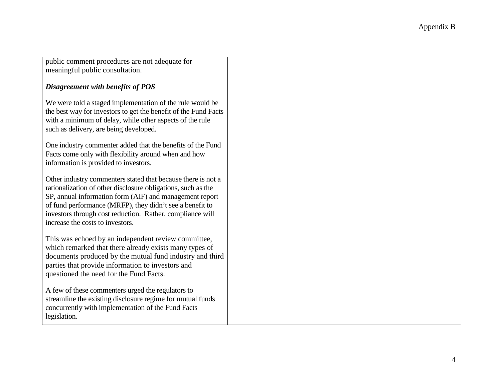public comment procedures are not adequate for meaningful public consultation.

### *Disagreement with benefits of POS*

We were told a staged implementation of the rule would be the best way for investors to get the benefit of the Fund Facts with a minimum of delay, while other aspects of the rule such as delivery, are being developed.

One industry commenter added that the benefits of the Fund Facts come only with flexibility around when and how information is provided to investors.

Other industry commenters stated that because there is not a rationalization of other disclosure obligations, such as the SP, annual information form (AIF) and management report of fund performance (MRFP), they didn't see a benefit to investors through cost reduction. Rather, compliance will increase the costs to investors.

This was echoed by an independent review committee, which remarked that there already exists many types of documents produced by the mutual fund industry and third parties that provide information to investors and questioned the need for the Fund Facts.

A few of these commenters urged the regulators to streamline the existing disclosure regime for mutual funds concurrently with implementation of the Fund Facts legislation.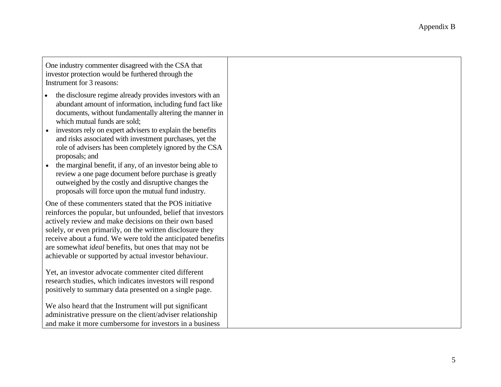One industry commenter disagreed with the CSA that investor protection would be furthered through the Instrument for 3 reasons:

- the disclosure regime already provides investors with an abundant amount of information, including fund fact like documents, without fundamentally altering the manner in which mutual funds are sold;
- investors rely on expert advisers to explain the benefits and risks associated with investment purchases, yet the role of advisers has been completely ignored by the CSA proposals; and
- the marginal benefit, if any, of an investor being able to review a one page document before purchase is greatly outweighed by the costly and disruptive changes the proposals will force upon the mutual fund industry.

One of these commenters stated that the POS initiative reinforces the popular, but unfounded, belief that investors actively review and make decisions on their own based solely, or even primarily, on the written disclosure they receive about a fund. We were told the anticipated benefits are somewhat *ideal* benefits, but ones that may not be achievable or supported by actual investor behaviour.

Yet, an investor advocate commenter cited different research studies, which indicates investors will respond positively to summary data presented on a single page.

We also heard that the Instrument will put significant administrative pressure on the client/adviser relationship and make it more cumbersome for investors in a business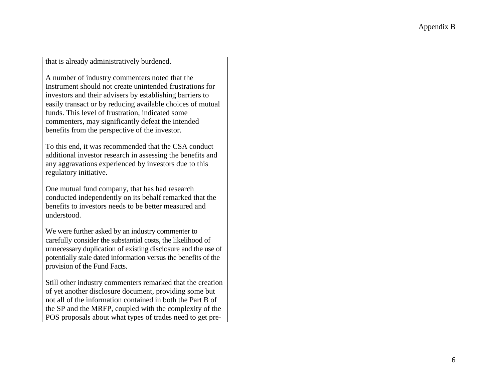|                                                                                                                                                                                                                                                                                     | Appendix B |
|-------------------------------------------------------------------------------------------------------------------------------------------------------------------------------------------------------------------------------------------------------------------------------------|------------|
|                                                                                                                                                                                                                                                                                     |            |
|                                                                                                                                                                                                                                                                                     |            |
| that is already administratively burdened.                                                                                                                                                                                                                                          |            |
| A number of industry commenters noted that the<br>Instrument should not create unintended frustrations for<br>investors and their advisers by establishing barriers to                                                                                                              |            |
| easily transact or by reducing available choices of mutual<br>funds. This level of frustration, indicated some                                                                                                                                                                      |            |
| commenters, may significantly defeat the intended<br>benefits from the perspective of the investor.                                                                                                                                                                                 |            |
| To this end, it was recommended that the CSA conduct<br>additional investor research in assessing the benefits and<br>any aggravations experienced by investors due to this<br>regulatory initiative.                                                                               |            |
| One mutual fund company, that has had research<br>conducted independently on its behalf remarked that the<br>benefits to investors needs to be better measured and<br>understood.                                                                                                   |            |
| We were further asked by an industry commenter to<br>carefully consider the substantial costs, the likelihood of<br>unnecessary duplication of existing disclosure and the use of<br>potentially stale dated information versus the benefits of the<br>provision of the Fund Facts. |            |
| Still other industry commenters remarked that the creation<br>of yet another disclosure document, providing some but<br>not all of the information contained in both the Part B of                                                                                                  |            |
| the SP and the MRFP, coupled with the complexity of the<br>POS proposals about what types of trades need to get pre-                                                                                                                                                                |            |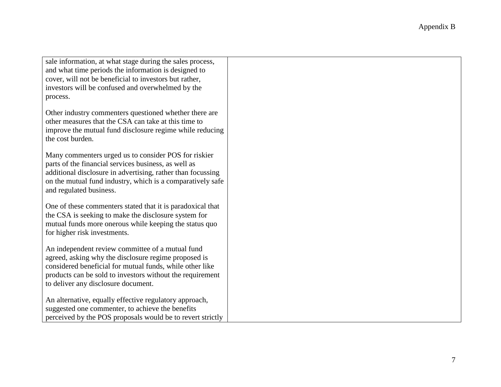|                                                                                                                                                                                                                                                                          | Appendix B |
|--------------------------------------------------------------------------------------------------------------------------------------------------------------------------------------------------------------------------------------------------------------------------|------------|
|                                                                                                                                                                                                                                                                          |            |
| sale information, at what stage during the sales process,<br>and what time periods the information is designed to<br>cover, will not be beneficial to investors but rather,<br>investors will be confused and overwhelmed by the<br>process.                             |            |
| Other industry commenters questioned whether there are<br>other measures that the CSA can take at this time to<br>improve the mutual fund disclosure regime while reducing<br>the cost burden.                                                                           |            |
| Many commenters urged us to consider POS for riskier<br>parts of the financial services business, as well as<br>additional disclosure in advertising, rather than focussing<br>on the mutual fund industry, which is a comparatively safe<br>and regulated business.     |            |
| One of these commenters stated that it is paradoxical that<br>the CSA is seeking to make the disclosure system for<br>mutual funds more onerous while keeping the status quo<br>for higher risk investments.                                                             |            |
| An independent review committee of a mutual fund<br>agreed, asking why the disclosure regime proposed is<br>considered beneficial for mutual funds, while other like<br>products can be sold to investors without the requirement<br>to deliver any disclosure document. |            |
| An alternative, equally effective regulatory approach,<br>suggested one commenter, to achieve the benefits<br>perceived by the POS proposals would be to revert strictly                                                                                                 |            |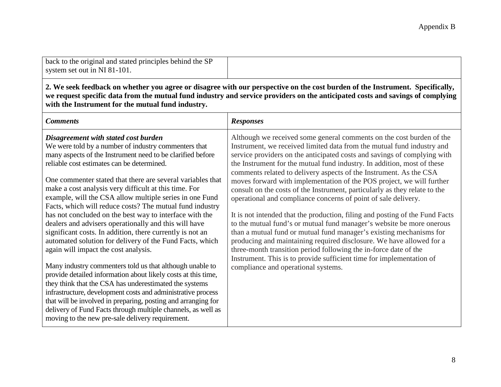| back to the original and stated principles behind the SP |  |
|----------------------------------------------------------|--|
| system set out in NI 81-101.                             |  |

**2. We seek feedback on whether you agree or disagree with our perspective on the cost burden of the Instrument. Specifically, we request specific data from the mutual fund industry and service providers on the anticipated costs and savings of complying with the Instrument for the mutual fund industry.**

| <b>Comments</b>                                                                                                                                                                                                                                                                                                                                                              | <b>Responses</b>                                                                                                                                                                                                                                                                                                                                                               |
|------------------------------------------------------------------------------------------------------------------------------------------------------------------------------------------------------------------------------------------------------------------------------------------------------------------------------------------------------------------------------|--------------------------------------------------------------------------------------------------------------------------------------------------------------------------------------------------------------------------------------------------------------------------------------------------------------------------------------------------------------------------------|
| Disagreement with stated cost burden<br>We were told by a number of industry commenters that<br>many aspects of the Instrument need to be clarified before<br>reliable cost estimates can be determined.                                                                                                                                                                     | Although we received some general comments on the cost burden of the<br>Instrument, we received limited data from the mutual fund industry and<br>service providers on the anticipated costs and savings of complying with<br>the Instrument for the mutual fund industry. In addition, most of these<br>comments related to delivery aspects of the Instrument. As the CSA    |
| One commenter stated that there are several variables that<br>make a cost analysis very difficult at this time. For<br>example, will the CSA allow multiple series in one Fund<br>Facts, which will reduce costs? The mutual fund industry<br>has not concluded on the best way to interface with the<br>dealers and advisers operationally and this will have               | moves forward with implementation of the POS project, we will further<br>consult on the costs of the Instrument, particularly as they relate to the<br>operational and compliance concerns of point of sale delivery.<br>It is not intended that the production, filing and posting of the Fund Facts<br>to the mutual fund's or mutual fund manager's website be more onerous |
| significant costs. In addition, there currently is not an<br>automated solution for delivery of the Fund Facts, which<br>again will impact the cost analysis.<br>Many industry commenters told us that although unable to                                                                                                                                                    | than a mutual fund or mutual fund manager's existing mechanisms for<br>producing and maintaining required disclosure. We have allowed for a<br>three-month transition period following the in-force date of the<br>Instrument. This is to provide sufficient time for implementation of                                                                                        |
| provide detailed information about likely costs at this time,<br>they think that the CSA has underestimated the systems<br>infrastructure, development costs and administrative process<br>that will be involved in preparing, posting and arranging for<br>delivery of Fund Facts through multiple channels, as well as<br>moving to the new pre-sale delivery requirement. | compliance and operational systems.                                                                                                                                                                                                                                                                                                                                            |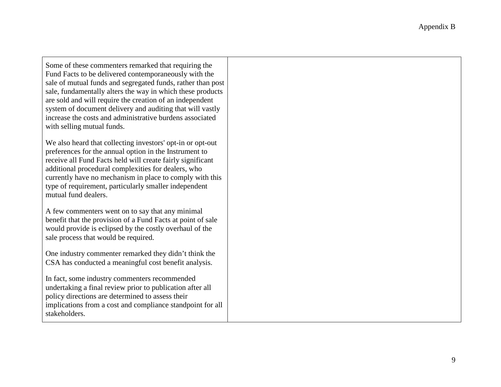Some of these commenters remarked that requiring the Fund Facts to be delivered contemporaneously with the sale of mutual funds and segregated funds, rather than post sale, fundamentally alters the way in which these products are sold and will require the creation of an independent system of document delivery and auditing that will vastly increase the costs and administrative burdens associated with selling mutual funds.

We also heard that collecting investors' opt-in or opt-out preferences for the annual option in the Instrument to receive all Fund Facts held will create fairly significant additional procedural complexities for dealers, who currently have no mechanism in place to comply with this type of requirement, particularly smaller independent mutual fund dealers.

A few commenters went on to say that any minimal benefit that the provision of a Fund Facts at point of sale would provide is eclipsed by the costly overhaul of the sale process that would be required.

One industry commenter remarked they didn't think the CSA has conducted a meaningful cost benefit analysis.

In fact, some industry commenters recommended undertaking a final review prior to publication after all policy directions are determined to assess their implications from a cost and compliance standpoint for all stakeholders.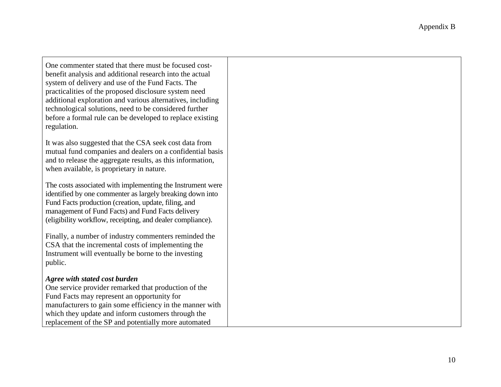One commenter stated that there must be focused costbenefit analysis and additional research into the actual system of delivery and use of the Fund Facts. The practicalities of the proposed disclosure system need additional exploration and various alternatives, including technological solutions, need to be considered further before a formal rule can be developed to replace existing regulation.

It was also suggested that the CSA seek cost data from mutual fund companies and dealers on a confidential basis and to release the aggregate results, as this information, when available, is proprietary in nature.

The costs associated with implementing the Instrument were identified by one commenter as largely breaking down into Fund Facts production (creation, update, filing, and management of Fund Facts) and Fund Facts delivery (eligibility workflow, receipting, and dealer compliance).

Finally, a number of industry commenters reminded the CSA that the incremental costs of implementing the Instrument will eventually be borne to the investing public.

### *Agree with stated cost burden*

One service provider remarked that production of the Fund Facts may represent an opportunity for manufacturers to gain some efficiency in the manner with which they update and inform customers through the replacement of the SP and potentially more automated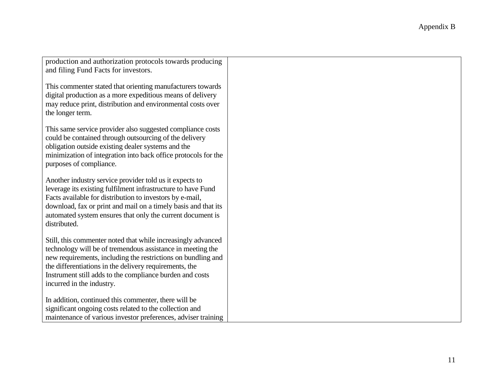| production and authorization protocols towards producing<br>and filing Fund Facts for investors.                                                                                                                                                                                                                                              |
|-----------------------------------------------------------------------------------------------------------------------------------------------------------------------------------------------------------------------------------------------------------------------------------------------------------------------------------------------|
| This commenter stated that orienting manufacturers towards<br>digital production as a more expeditious means of delivery<br>may reduce print, distribution and environmental costs over<br>the longer term.                                                                                                                                   |
| This same service provider also suggested compliance costs<br>could be contained through outsourcing of the delivery<br>obligation outside existing dealer systems and the<br>minimization of integration into back office protocols for the<br>purposes of compliance.                                                                       |
| Another industry service provider told us it expects to<br>leverage its existing fulfilment infrastructure to have Fund<br>Facts available for distribution to investors by e-mail,<br>download, fax or print and mail on a timely basis and that its<br>automated system ensures that only the current document is<br>distributed.           |
| Still, this commenter noted that while increasingly advanced<br>technology will be of tremendous assistance in meeting the<br>new requirements, including the restrictions on bundling and<br>the differentiations in the delivery requirements, the<br>Instrument still adds to the compliance burden and costs<br>incurred in the industry. |
| In addition, continued this commenter, there will be<br>significant ongoing costs related to the collection and<br>maintenance of various investor preferences, adviser training                                                                                                                                                              |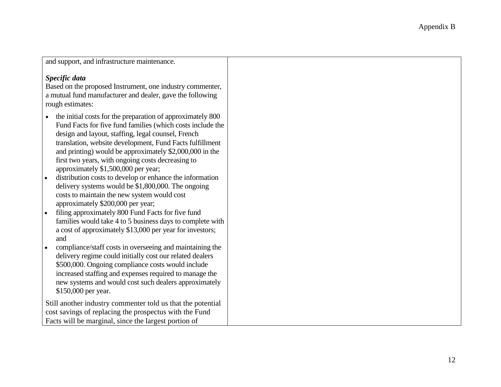| and support, and infrastructure maintenance. |  |
|----------------------------------------------|--|
|----------------------------------------------|--|

### *Specific data*

Based on the proposed Instrument, one industry commenter, a mutual fund manufacturer and dealer, gave the following rough estimates:

- the initial costs for the preparation of approximately 800 Fund Facts for five fund families (which costs include the design and layout, staffing, legal counsel, French translation, website development, Fund Facts fulfillment and printing) would be approximately \$2,000,000 in the first two years, with ongoing costs decreasing to approximately \$1,500,000 per year;
- distribution costs to develop or enhance the information delivery systems would be \$1,800,000. The ongoing costs to maintain the new system would cost approximately \$200,000 per year;
- filing approximately 800 Fund Facts for five fund families would take 4 to 5 business days to complete with a cost of approximately \$13,000 per year for investors; and
- compliance/staff costs in overseeing and maintaining the delivery regime could initially cost our related dealers \$500,000. Ongoing compliance costs would include increased staffing and expenses required to manage the new systems and would cost such dealers approximately \$150,000 per year.

Still another industry commenter told us that the potential cost savings of replacing the prospectus with the Fund Facts will be marginal, since the largest portion of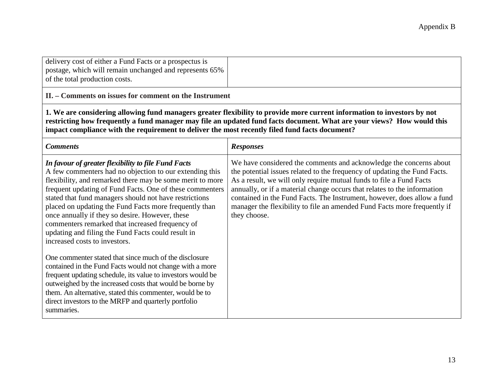| delivery cost of either a Fund Facts or a prospectus is |  |
|---------------------------------------------------------|--|
| postage, which will remain unchanged and represents 65% |  |
| of the total production costs.                          |  |

**II. – Comments on issues for comment on the Instrument**

**1. We are considering allowing fund managers greater flexibility to provide more current information to investors by not restricting how frequently a fund manager may file an updated fund facts document. What are your views? How would this impact compliance with the requirement to deliver the most recently filed fund facts document?**

| <b>Comments</b>                                                                                                                                                                                                                                                                                                                                                                                                                                                                                                                                          | <b>Responses</b>                                                                                                                                                                                                                                                                                                                                                                                                                                                          |
|----------------------------------------------------------------------------------------------------------------------------------------------------------------------------------------------------------------------------------------------------------------------------------------------------------------------------------------------------------------------------------------------------------------------------------------------------------------------------------------------------------------------------------------------------------|---------------------------------------------------------------------------------------------------------------------------------------------------------------------------------------------------------------------------------------------------------------------------------------------------------------------------------------------------------------------------------------------------------------------------------------------------------------------------|
| In favour of greater flexibility to file Fund Facts<br>A few commenters had no objection to our extending this<br>flexibility, and remarked there may be some merit to more<br>frequent updating of Fund Facts. One of these commenters<br>stated that fund managers should not have restrictions<br>placed on updating the Fund Facts more frequently than<br>once annually if they so desire. However, these<br>commenters remarked that increased frequency of<br>updating and filing the Fund Facts could result in<br>increased costs to investors. | We have considered the comments and acknowledge the concerns about<br>the potential issues related to the frequency of updating the Fund Facts.<br>As a result, we will only require mutual funds to file a Fund Facts<br>annually, or if a material change occurs that relates to the information<br>contained in the Fund Facts. The Instrument, however, does allow a fund<br>manager the flexibility to file an amended Fund Facts more frequently if<br>they choose. |
| One commenter stated that since much of the disclosure<br>contained in the Fund Facts would not change with a more<br>frequent updating schedule, its value to investors would be<br>outweighed by the increased costs that would be borne by<br>them. An alternative, stated this commenter, would be to<br>direct investors to the MRFP and quarterly portfolio<br>summaries.                                                                                                                                                                          |                                                                                                                                                                                                                                                                                                                                                                                                                                                                           |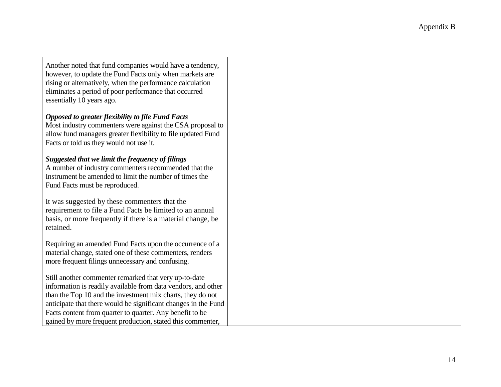| Another noted that fund companies would have a tendency,<br>however, to update the Fund Facts only when markets are<br>rising or alternatively, when the performance calculation<br>eliminates a period of poor performance that occurred<br>essentially 10 years ago.                                                                                                           |
|----------------------------------------------------------------------------------------------------------------------------------------------------------------------------------------------------------------------------------------------------------------------------------------------------------------------------------------------------------------------------------|
| <b>Opposed to greater flexibility to file Fund Facts</b><br>Most industry commenters were against the CSA proposal to<br>allow fund managers greater flexibility to file updated Fund<br>Facts or told us they would not use it.                                                                                                                                                 |
| Suggested that we limit the frequency of filings<br>A number of industry commenters recommended that the<br>Instrument be amended to limit the number of times the<br>Fund Facts must be reproduced.                                                                                                                                                                             |
| It was suggested by these commenters that the<br>requirement to file a Fund Facts be limited to an annual<br>basis, or more frequently if there is a material change, be<br>retained.                                                                                                                                                                                            |
| Requiring an amended Fund Facts upon the occurrence of a<br>material change, stated one of these commenters, renders<br>more frequent filings unnecessary and confusing.                                                                                                                                                                                                         |
| Still another commenter remarked that very up-to-date<br>information is readily available from data vendors, and other<br>than the Top 10 and the investment mix charts, they do not<br>anticipate that there would be significant changes in the Fund<br>Facts content from quarter to quarter. Any benefit to be<br>gained by more frequent production, stated this commenter, |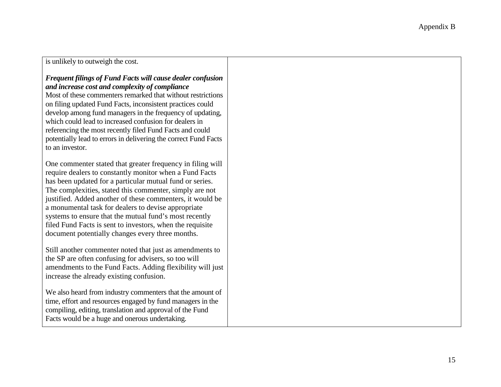is unlikely to outweigh the cost.

### *Frequent filings of Fund Facts will cause dealer confusion and increase cost and complexity of compliance*

Most of these commenters remarked that without restrictions on filing updated Fund Facts, inconsistent practices could develop among fund managers in the frequency of updating, which could lead to increased confusion for dealers in referencing the most recently filed Fund Facts and could potentially lead to errors in delivering the correct Fund Facts to an investor.

One commenter stated that greater frequency in filing will require dealers to constantly monitor when a Fund Facts has been updated for a particular mutual fund or series. The complexities, stated this commenter, simply are not justified. Added another of these commenters, it would be a monumental task for dealers to devise appropriate systems to ensure that the mutual fund's most recently filed Fund Facts is sent to investors, when the requisite document potentially changes every three months.

Still another commenter noted that just as amendments to the SP are often confusing for advisers, so too will amendments to the Fund Facts. Adding flexibility will just increase the already existing confusion.

We also heard from industry commenters that the amount of time, effort and resources engaged by fund managers in the compiling, editing, translation and approval of the Fund Facts would be a huge and onerous undertaking.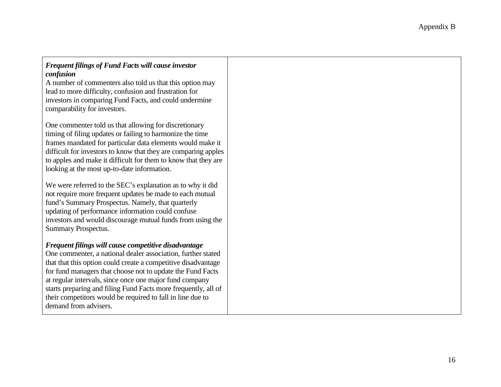### *Frequent filings of Fund Facts will cause investor confusion* A number of commenters also told us that this option may

lead to more difficulty, confusion and frustration for investors in comparing Fund Facts, and could undermine comparability for investors.

One commenter told us that allowing for discretionary timing of filing updates or failing to harmonize the time frames mandated for particular data elements would make it difficult for investors to know that they are comparing apples to apples and make it difficult for them to know that they are looking at the most up-to-date information.

We were referred to the SEC's explanation as to why it did not require more frequent updates be made to each mutual fund's Summary Prospectus. Namely, that quarterly updating of performance information could confuse investors and would discourage mutual funds from using the Summary Prospectus.

## *Frequent filings will cause competitive disadvantage*

One commenter, a national dealer association, further stated that that this option could create a competitive disadvantage for fund managers that choose not to update the Fund Facts at regular intervals, since once one major fund company starts preparing and filing Fund Facts more frequently, all of their competitors would be required to fall in line due to demand from advisers.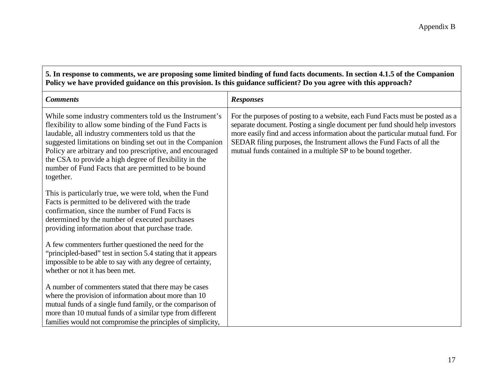**5. In response to comments, we are proposing some limited binding of fund facts documents. In section 4.1.5 of the Companion Policy we have provided guidance on this provision. Is this guidance sufficient? Do you agree with this approach?**

| <b>Comments</b>                                                                                                                                                                                                                                                                                                                                                                                                                 | <b>Responses</b>                                                                                                                                                                                                                                                                                                                                                                         |
|---------------------------------------------------------------------------------------------------------------------------------------------------------------------------------------------------------------------------------------------------------------------------------------------------------------------------------------------------------------------------------------------------------------------------------|------------------------------------------------------------------------------------------------------------------------------------------------------------------------------------------------------------------------------------------------------------------------------------------------------------------------------------------------------------------------------------------|
| While some industry commenters told us the Instrument's<br>flexibility to allow some binding of the Fund Facts is<br>laudable, all industry commenters told us that the<br>suggested limitations on binding set out in the Companion<br>Policy are arbitrary and too prescriptive, and encouraged<br>the CSA to provide a high degree of flexibility in the<br>number of Fund Facts that are permitted to be bound<br>together. | For the purposes of posting to a website, each Fund Facts must be posted as a<br>separate document. Posting a single document per fund should help investors<br>more easily find and access information about the particular mutual fund. For<br>SEDAR filing purposes, the Instrument allows the Fund Facts of all the<br>mutual funds contained in a multiple SP to be bound together. |
| This is particularly true, we were told, when the Fund<br>Facts is permitted to be delivered with the trade<br>confirmation, since the number of Fund Facts is<br>determined by the number of executed purchases<br>providing information about that purchase trade.                                                                                                                                                            |                                                                                                                                                                                                                                                                                                                                                                                          |
| A few commenters further questioned the need for the<br>"principled-based" test in section 5.4 stating that it appears<br>impossible to be able to say with any degree of certainty,<br>whether or not it has been met.                                                                                                                                                                                                         |                                                                                                                                                                                                                                                                                                                                                                                          |
| A number of commenters stated that there may be cases<br>where the provision of information about more than 10<br>mutual funds of a single fund family, or the comparison of<br>more than 10 mutual funds of a similar type from different<br>families would not compromise the principles of simplicity,                                                                                                                       |                                                                                                                                                                                                                                                                                                                                                                                          |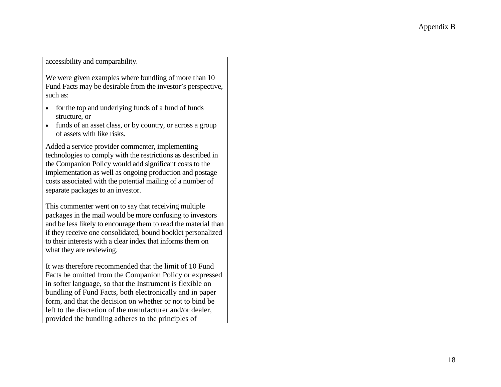| accessibility and comparability.                                                                                                                                                                                                                                                                                                                                                                                          |  |
|---------------------------------------------------------------------------------------------------------------------------------------------------------------------------------------------------------------------------------------------------------------------------------------------------------------------------------------------------------------------------------------------------------------------------|--|
| We were given examples where bundling of more than 10<br>Fund Facts may be desirable from the investor's perspective,<br>such as:                                                                                                                                                                                                                                                                                         |  |
| for the top and underlying funds of a fund of funds<br>structure, or<br>funds of an asset class, or by country, or across a group<br>of assets with like risks.                                                                                                                                                                                                                                                           |  |
| Added a service provider commenter, implementing<br>technologies to comply with the restrictions as described in<br>the Companion Policy would add significant costs to the<br>implementation as well as ongoing production and postage<br>costs associated with the potential mailing of a number of<br>separate packages to an investor.                                                                                |  |
| This commenter went on to say that receiving multiple.<br>packages in the mail would be more confusing to investors<br>and be less likely to encourage them to read the material than<br>if they receive one consolidated, bound booklet personalized<br>to their interests with a clear index that informs them on<br>what they are reviewing.                                                                           |  |
| It was therefore recommended that the limit of 10 Fund<br>Facts be omitted from the Companion Policy or expressed<br>in softer language, so that the Instrument is flexible on<br>bundling of Fund Facts, both electronically and in paper<br>form, and that the decision on whether or not to bind be<br>left to the discretion of the manufacturer and/or dealer,<br>provided the bundling adheres to the principles of |  |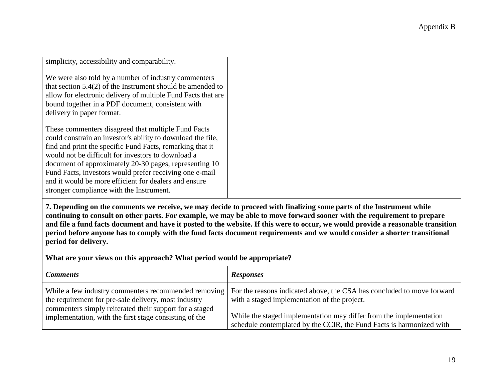| simplicity, accessibility and comparability.                                                                                                                                                                                                                                                                                                                                                                                                                    |
|-----------------------------------------------------------------------------------------------------------------------------------------------------------------------------------------------------------------------------------------------------------------------------------------------------------------------------------------------------------------------------------------------------------------------------------------------------------------|
| We were also told by a number of industry commenters<br>that section $5.4(2)$ of the Instrument should be amended to<br>allow for electronic delivery of multiple Fund Facts that are<br>bound together in a PDF document, consistent with<br>delivery in paper format.                                                                                                                                                                                         |
| These commenters disagreed that multiple Fund Facts<br>could constrain an investor's ability to download the file,<br>find and print the specific Fund Facts, remarking that it<br>would not be difficult for investors to download a<br>document of approximately 20-30 pages, representing 10<br>Fund Facts, investors would prefer receiving one e-mail<br>and it would be more efficient for dealers and ensure<br>stronger compliance with the Instrument. |

**7. Depending on the comments we receive, we may decide to proceed with finalizing some parts of the Instrument while continuing to consult on other parts. For example, we may be able to move forward sooner with the requirement to prepare and file a fund facts document and have it posted to the website. If this were to occur, we would provide a reasonable transition period before anyone has to comply with the fund facts document requirements and we would consider a shorter transitional period for delivery.**

**What are your views on this approach? What period would be appropriate?**

| <b>Comments</b>                                                                                                                                                         | <b>Responses</b>                                                                                                                           |
|-------------------------------------------------------------------------------------------------------------------------------------------------------------------------|--------------------------------------------------------------------------------------------------------------------------------------------|
| While a few industry commenters recommended removing<br>the requirement for pre-sale delivery, most industry<br>commenters simply reiterated their support for a staged | For the reasons indicated above, the CSA has concluded to move forward<br>with a staged implementation of the project.                     |
| implementation, with the first stage consisting of the                                                                                                                  | While the staged implementation may differ from the implementation<br>schedule contemplated by the CCIR, the Fund Facts is harmonized with |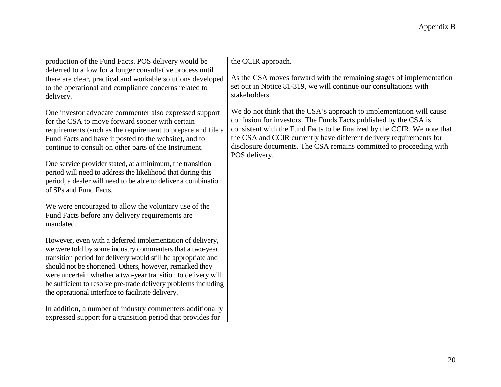| production of the Fund Facts. POS delivery would be                                                                                                                                                                                                                                                                                                                                                                                       | the CCIR approach.                                                                                                                                                                                                                                                                                                                                                                 |
|-------------------------------------------------------------------------------------------------------------------------------------------------------------------------------------------------------------------------------------------------------------------------------------------------------------------------------------------------------------------------------------------------------------------------------------------|------------------------------------------------------------------------------------------------------------------------------------------------------------------------------------------------------------------------------------------------------------------------------------------------------------------------------------------------------------------------------------|
| deferred to allow for a longer consultative process until                                                                                                                                                                                                                                                                                                                                                                                 |                                                                                                                                                                                                                                                                                                                                                                                    |
| there are clear, practical and workable solutions developed<br>to the operational and compliance concerns related to<br>delivery.                                                                                                                                                                                                                                                                                                         | As the CSA moves forward with the remaining stages of implementation<br>set out in Notice 81-319, we will continue our consultations with<br>stakeholders.                                                                                                                                                                                                                         |
| One investor advocate commenter also expressed support<br>for the CSA to move forward sooner with certain<br>requirements (such as the requirement to prepare and file a<br>Fund Facts and have it posted to the website), and to<br>continue to consult on other parts of the Instrument.                                                                                                                                                | We do not think that the CSA's approach to implementation will cause<br>confusion for investors. The Funds Facts published by the CSA is<br>consistent with the Fund Facts to be finalized by the CCIR. We note that<br>the CSA and CCIR currently have different delivery requirements for<br>disclosure documents. The CSA remains committed to proceeding with<br>POS delivery. |
| One service provider stated, at a minimum, the transition<br>period will need to address the likelihood that during this<br>period, a dealer will need to be able to deliver a combination<br>of SPs and Fund Facts.                                                                                                                                                                                                                      |                                                                                                                                                                                                                                                                                                                                                                                    |
| We were encouraged to allow the voluntary use of the<br>Fund Facts before any delivery requirements are<br>mandated.                                                                                                                                                                                                                                                                                                                      |                                                                                                                                                                                                                                                                                                                                                                                    |
| However, even with a deferred implementation of delivery,<br>we were told by some industry commenters that a two-year<br>transition period for delivery would still be appropriate and<br>should not be shortened. Others, however, remarked they<br>were uncertain whether a two-year transition to delivery will<br>be sufficient to resolve pre-trade delivery problems including<br>the operational interface to facilitate delivery. |                                                                                                                                                                                                                                                                                                                                                                                    |
| In addition, a number of industry commenters additionally<br>expressed support for a transition period that provides for                                                                                                                                                                                                                                                                                                                  |                                                                                                                                                                                                                                                                                                                                                                                    |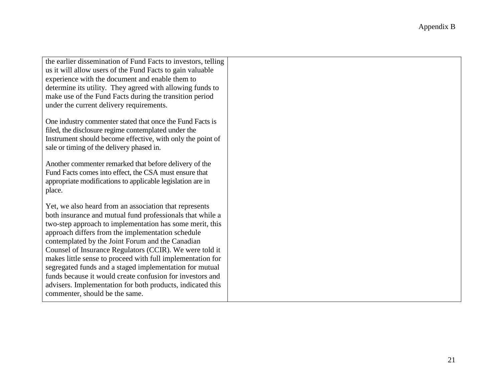| the earlier dissemination of Fund Facts to investors, telling |  |
|---------------------------------------------------------------|--|
| us it will allow users of the Fund Facts to gain valuable     |  |
| experience with the document and enable them to               |  |
| determine its utility. They agreed with allowing funds to     |  |
| make use of the Fund Facts during the transition period       |  |
| under the current delivery requirements.                      |  |
|                                                               |  |
| One industry commenter stated that once the Fund Facts is     |  |
| filed, the disclosure regime contemplated under the           |  |
| Instrument should become effective, with only the point of    |  |
| sale or timing of the delivery phased in.                     |  |
|                                                               |  |
| Another commenter remarked that before delivery of the        |  |
| Fund Facts comes into effect, the CSA must ensure that        |  |
| appropriate modifications to applicable legislation are in    |  |
| place.                                                        |  |
|                                                               |  |
| Yet, we also heard from an association that represents        |  |
| both insurance and mutual fund professionals that while a     |  |
| two-step approach to implementation has some merit, this      |  |
| approach differs from the implementation schedule             |  |
| contemplated by the Joint Forum and the Canadian              |  |
| Counsel of Insurance Regulators (CCIR). We were told it       |  |
| makes little sense to proceed with full implementation for    |  |
| segregated funds and a staged implementation for mutual       |  |
| funds because it would create confusion for investors and     |  |
| advisers. Implementation for both products, indicated this    |  |
| commenter, should be the same.                                |  |
|                                                               |  |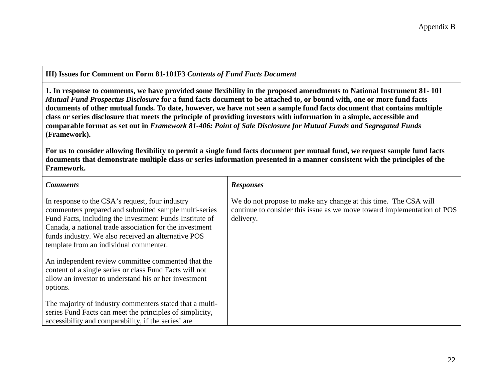**III) Issues for Comment on Form 81-101F3** *Contents of Fund Facts Document*

**1. In response to comments, we have provided some flexibility in the proposed amendments to National Instrument 81- 101** *Mutual Fund Prospectus Disclosure* **for a fund facts document to be attached to, or bound with, one or more fund facts documents of other mutual funds. To date, however, we have not seen a sample fund facts document that contains multiple class or series disclosure that meets the principle of providing investors with information in a simple, accessible and comparable format as set out in** *Framework 81-406: Point of Sale Disclosure for Mutual Funds and Segregated Funds* **(Framework).**

**For us to consider allowing flexibility to permit a single fund facts document per mutual fund, we request sample fund facts documents that demonstrate multiple class or series information presented in a manner consistent with the principles of the Framework.**

| <b>Comments</b>                                                                                                                                                                                                                                                                                                                 | <b>Responses</b>                                                                                                                                        |
|---------------------------------------------------------------------------------------------------------------------------------------------------------------------------------------------------------------------------------------------------------------------------------------------------------------------------------|---------------------------------------------------------------------------------------------------------------------------------------------------------|
| In response to the CSA's request, four industry<br>commenters prepared and submitted sample multi-series<br>Fund Facts, including the Investment Funds Institute of<br>Canada, a national trade association for the investment<br>funds industry. We also received an alternative POS<br>template from an individual commenter. | We do not propose to make any change at this time. The CSA will<br>continue to consider this issue as we move toward implementation of POS<br>delivery. |
| An independent review committee commented that the<br>content of a single series or class Fund Facts will not<br>allow an investor to understand his or her investment<br>options.                                                                                                                                              |                                                                                                                                                         |
| The majority of industry commenters stated that a multi-<br>series Fund Facts can meet the principles of simplicity,<br>accessibility and comparability, if the series' are                                                                                                                                                     |                                                                                                                                                         |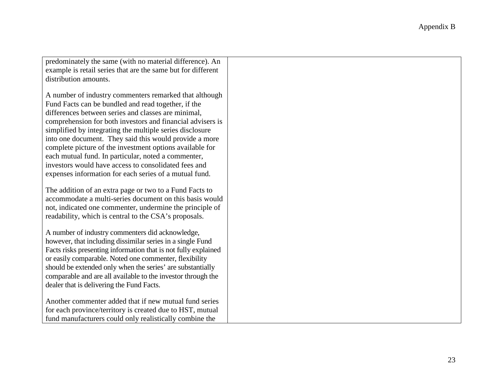predominately the same (with no material difference). An example is retail series that are the same but for different distribution amounts.

A number of industry commenters remarked that although Fund Facts can be bundled and read together, if the differences between series and classes are minimal, comprehension for both investors and financial advisers is simplified by integrating the multiple series disclosure into one document. They said this would provide a more complete picture of the investment options available for each mutual fund. In particular, noted a commenter, investors would have access to consolidated fees and expenses information for each series of a mutual fund.

The addition of an extra page or two to a Fund Facts to accommodate a multi-series document on this basis would not, indicated one commenter, undermine the principle of readability, which is central to the CSA's proposals.

A number of industry commenters did acknowledge, however, that including dissimilar series in a single Fund Facts risks presenting information that is not fully explained or easily comparable. Noted one commenter, flexibility should be extended only when the series' are substantially comparable and are all available to the investor through the dealer that is delivering the Fund Facts.

Another commenter added that if new mutual fund series for each province/territory is created due to HST, mutual fund manufacturers could only realistically combine the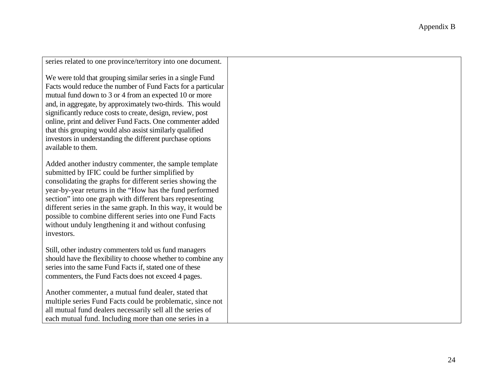| series related to one province/territory into one document.                                                                                                                                                                                                                                                                                                                                                                                                                                                                  |  |
|------------------------------------------------------------------------------------------------------------------------------------------------------------------------------------------------------------------------------------------------------------------------------------------------------------------------------------------------------------------------------------------------------------------------------------------------------------------------------------------------------------------------------|--|
| We were told that grouping similar series in a single Fund<br>Facts would reduce the number of Fund Facts for a particular<br>mutual fund down to 3 or 4 from an expected 10 or more<br>and, in aggregate, by approximately two-thirds. This would<br>significantly reduce costs to create, design, review, post<br>online, print and deliver Fund Facts. One commenter added<br>that this grouping would also assist similarly qualified<br>investors in understanding the different purchase options<br>available to them. |  |
| Added another industry commenter, the sample template<br>submitted by IFIC could be further simplified by<br>consolidating the graphs for different series showing the<br>year-by-year returns in the "How has the fund performed<br>section" into one graph with different bars representing<br>different series in the same graph. In this way, it would be<br>possible to combine different series into one Fund Facts<br>without unduly lengthening it and without confusing<br>investors.                               |  |
| Still, other industry commenters told us fund managers<br>should have the flexibility to choose whether to combine any<br>series into the same Fund Facts if, stated one of these<br>commenters, the Fund Facts does not exceed 4 pages.                                                                                                                                                                                                                                                                                     |  |
| Another commenter, a mutual fund dealer, stated that<br>multiple series Fund Facts could be problematic, since not<br>all mutual fund dealers necessarily sell all the series of<br>each mutual fund. Including more than one series in a                                                                                                                                                                                                                                                                                    |  |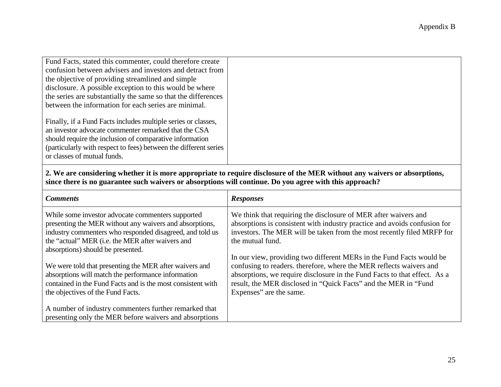**2. We are considering whether it is more appropriate to require disclosure of the MER without any waivers or absorptions, since there is no guarantee such waivers or absorptions will continue. Do you agree with this approach?**

| <b>Comments</b>                                                                                                                                                          | <b>Responses</b>                                                                                                                                                                                                       |
|--------------------------------------------------------------------------------------------------------------------------------------------------------------------------|------------------------------------------------------------------------------------------------------------------------------------------------------------------------------------------------------------------------|
| While some investor advocate commenters supported<br>presenting the MER without any waivers and absorptions,<br>industry commenters who responded disagreed, and told us | We think that requiring the disclosure of MER after waivers and<br>absorptions is consistent with industry practice and avoids confusion for<br>investors. The MER will be taken from the most recently filed MRFP for |
| the "actual" MER (i.e. the MER after waivers and                                                                                                                         | the mutual fund.                                                                                                                                                                                                       |
| absorptions) should be presented.                                                                                                                                        | In our view, providing two different MERs in the Fund Facts would be                                                                                                                                                   |
| We were told that presenting the MER after waivers and                                                                                                                   | confusing to readers. therefore, where the MER reflects waivers and                                                                                                                                                    |
| absorptions will match the performance information<br>contained in the Fund Facts and is the most consistent with                                                        | absorptions, we require disclosure in the Fund Facts to that effect. As a<br>result, the MER disclosed in "Quick Facts" and the MER in "Fund                                                                           |
| the objectives of the Fund Facts.                                                                                                                                        | Expenses" are the same.                                                                                                                                                                                                |
| A number of industry commenters further remarked that                                                                                                                    |                                                                                                                                                                                                                        |
| presenting only the MER before waivers and absorptions                                                                                                                   |                                                                                                                                                                                                                        |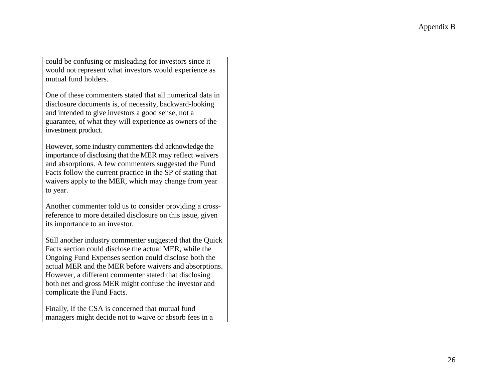| could be confusing or misleading for investors since it     |
|-------------------------------------------------------------|
| would not represent what investors would experience as      |
| mutual fund holders.                                        |
|                                                             |
| One of these commenters stated that all numerical data in   |
| disclosure documents is, of necessity, backward-looking     |
| and intended to give investors a good sense, not a          |
| guarantee, of what they will experience as owners of the    |
| investment product.                                         |
|                                                             |
| However, some industry commenters did acknowledge the       |
| importance of disclosing that the MER may reflect waivers   |
| and absorptions. A few commenters suggested the Fund        |
| Facts follow the current practice in the SP of stating that |
| waivers apply to the MER, which may change from year        |
| to year.                                                    |
|                                                             |
| Another commenter told us to consider providing a cross-    |
| reference to more detailed disclosure on this issue, given  |
| its importance to an investor.                              |
|                                                             |
| Still another industry commenter suggested that the Quick   |
| Facts section could disclose the actual MER, while the      |
| Ongoing Fund Expenses section could disclose both the       |
| actual MER and the MER before waivers and absorptions.      |
| However, a different commenter stated that disclosing       |
| both net and gross MER might confuse the investor and       |
| complicate the Fund Facts.                                  |
|                                                             |
| Finally, if the CSA is concerned that mutual fund           |
| managers might decide not to waive or absorb fees in a      |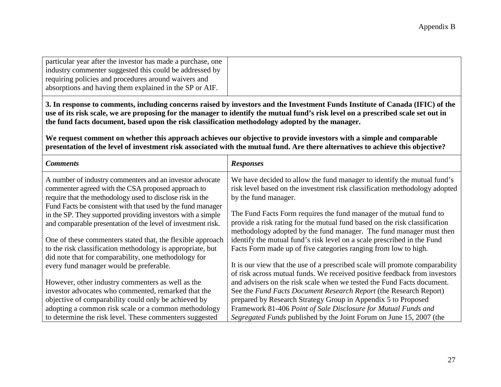| particular year after the investor has made a purchase, one |
|-------------------------------------------------------------|
| industry commenter suggested this could be addressed by     |
| requiring policies and procedures around waivers and        |
| absorptions and having them explained in the SP or AIF.     |
|                                                             |

**3. In response to comments, including concerns raised by investors and the Investment Funds Institute of Canada (IFIC) of the use of its risk scale, we are proposing for the manager to identify the mutual fund's risk level on a prescribed scale set out in the fund facts document, based upon the risk classification methodology adopted by the manager.**

**We request comment on whether this approach achieves our objective to provide investors with a simple and comparable presentation of the level of investment risk associated with the mutual fund. Are there alternatives to achieve this objective?**

| <b>Comments</b>                                              | <b>Responses</b>                                                             |
|--------------------------------------------------------------|------------------------------------------------------------------------------|
| A number of industry commenters and an investor advocate     | We have decided to allow the fund manager to identify the mutual fund's      |
| commenter agreed with the CSA proposed approach to           | risk level based on the investment risk classification methodology adopted   |
| require that the methodology used to disclose risk in the    | by the fund manager.                                                         |
| Fund Facts be consistent with that used by the fund manager  |                                                                              |
| in the SP. They supported providing investors with a simple  | The Fund Facts Form requires the fund manager of the mutual fund to          |
| and comparable presentation of the level of investment risk. | provide a risk rating for the mutual fund based on the risk classification   |
|                                                              | methodology adopted by the fund manager. The fund manager must then          |
| One of these commenters stated that, the flexible approach   | identify the mutual fund's risk level on a scale prescribed in the Fund      |
| to the risk classification methodology is appropriate, but   | Facts Form made up of five categories ranging from low to high.              |
| did note that for comparability, one methodology for         |                                                                              |
| every fund manager would be preferable.                      | It is our view that the use of a prescribed scale will promote comparability |
|                                                              | of risk across mutual funds. We received positive feedback from investors    |
| However, other industry commenters as well as the            | and advisers on the risk scale when we tested the Fund Facts document.       |
| investor advocates who commented, remarked that the          | See the Fund Facts Document Research Report (the Research Report)            |
| objective of comparability could only be achieved by         | prepared by Research Strategy Group in Appendix 5 to Proposed                |
| adopting a common risk scale or a common methodology         | Framework 81-406 Point of Sale Disclosure for Mutual Funds and               |
| to determine the risk level. These commenters suggested      | Segregated Funds published by the Joint Forum on June 15, 2007 (the          |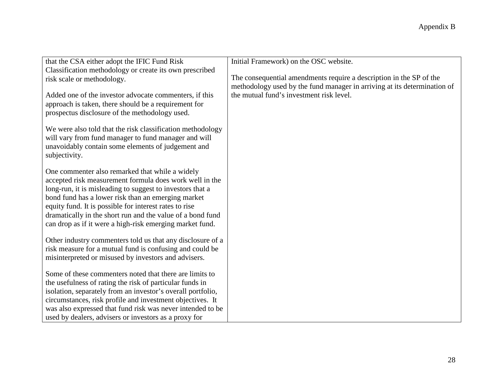| that the CSA either adopt the IFIC Fund Risk                                                                                                                                                                                                                                                                                                                                                                      | Initial Framework) on the OSC website.                                                                                                          |
|-------------------------------------------------------------------------------------------------------------------------------------------------------------------------------------------------------------------------------------------------------------------------------------------------------------------------------------------------------------------------------------------------------------------|-------------------------------------------------------------------------------------------------------------------------------------------------|
| Classification methodology or create its own prescribed                                                                                                                                                                                                                                                                                                                                                           |                                                                                                                                                 |
| risk scale or methodology.                                                                                                                                                                                                                                                                                                                                                                                        | The consequential amendments require a description in the SP of the<br>methodology used by the fund manager in arriving at its determination of |
| Added one of the investor advocate commenters, if this<br>approach is taken, there should be a requirement for<br>prospectus disclosure of the methodology used.                                                                                                                                                                                                                                                  | the mutual fund's investment risk level.                                                                                                        |
| We were also told that the risk classification methodology<br>will vary from fund manager to fund manager and will<br>unavoidably contain some elements of judgement and<br>subjectivity.                                                                                                                                                                                                                         |                                                                                                                                                 |
| One commenter also remarked that while a widely<br>accepted risk measurement formula does work well in the<br>long-run, it is misleading to suggest to investors that a<br>bond fund has a lower risk than an emerging market<br>equity fund. It is possible for interest rates to rise<br>dramatically in the short run and the value of a bond fund<br>can drop as if it were a high-risk emerging market fund. |                                                                                                                                                 |
| Other industry commenters told us that any disclosure of a<br>risk measure for a mutual fund is confusing and could be<br>misinterpreted or misused by investors and advisers.                                                                                                                                                                                                                                    |                                                                                                                                                 |
| Some of these commenters noted that there are limits to<br>the usefulness of rating the risk of particular funds in<br>isolation, separately from an investor's overall portfolio,<br>circumstances, risk profile and investment objectives. It<br>was also expressed that fund risk was never intended to be<br>used by dealers, advisers or investors as a proxy for                                            |                                                                                                                                                 |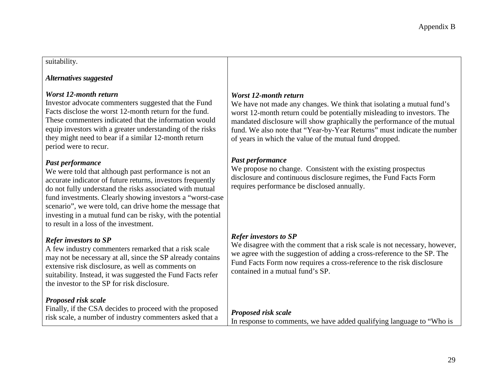### suitability.

### *Alternatives suggested*

### *Worst 12-month return*

Investor advocate commenters suggested that the Fund Facts disclose the worst 12-month return for the fund. These commenters indicated that the information would equip investors with a greater understanding of the risks they might need to bear if a similar 12-month return period were to recur.

## *Past performance*

We were told that although past performance is not an accurate indicator of future returns, investors frequently do not fully understand the risks associated with mutual fund investments. Clearly showing investors a "worst-case scenario", we were told, can drive home the message that investing in a mutual fund can be risky, with the potential to result in a loss of the investment.

# *Refer investors to SP*

A few industry commenters remarked that a risk scale may not be necessary at all, since the SP already contains extensive risk disclosure, as well as comments on suitability. Instead, it was suggested the Fund Facts refer the investor to the SP for risk disclosure.

# *Proposed risk scale*

Finally, if the CSA decides to proceed with the proposed risk scale, a number of industry commenters asked that a

# *Worst 12-month return*

We have not made any changes. We think that isolating a mutual fund's worst 12-month return could be potentially misleading to investors. The mandated disclosure will show graphically the performance of the mutual fund. We also note that "Year-by-Year Returns" must indicate the number of years in which the value of the mutual fund dropped.

## *Past performance*

We propose no change. Consistent with the existing prospectus disclosure and continuous disclosure regimes, the Fund Facts Form requires performance be disclosed annually.

# *Refer investors to SP*

We disagree with the comment that a risk scale is not necessary, however, we agree with the suggestion of adding a cross-reference to the SP. The Fund Facts Form now requires a cross-reference to the risk disclosure contained in a mutual fund's SP.

## *Proposed risk scale*

In response to comments, we have added qualifying language to "Who is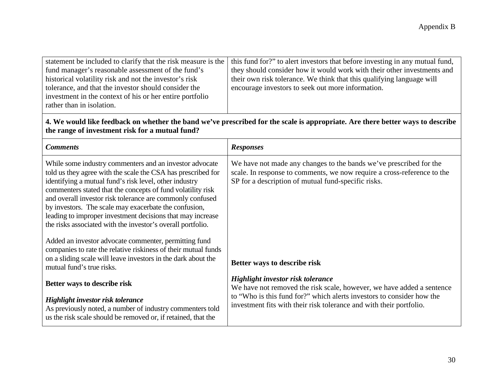|                                                          | statement be included to clarify that the risk measure is the   this fund for?" to alert investors that before investing in any mutual fund, |
|----------------------------------------------------------|----------------------------------------------------------------------------------------------------------------------------------------------|
| fund manager's reasonable assessment of the fund's       | they should consider how it would work with their other investments and                                                                      |
| historical volatility risk and not the investor's risk   | their own risk tolerance. We think that this qualifying language will                                                                        |
| tolerance, and that the investor should consider the     | encourage investors to seek out more information.                                                                                            |
| investment in the context of his or her entire portfolio |                                                                                                                                              |
| rather than in isolation.                                |                                                                                                                                              |

# **4. We would like feedback on whether the band we've prescribed for the scale is appropriate. Are there better ways to describe the range of investment risk for a mutual fund?**

| <b>Comments</b>                                                                                                                                                                                                                                                                                                                                                                                                                                                                                     | <b>Responses</b>                                                                                                                                                                                     |
|-----------------------------------------------------------------------------------------------------------------------------------------------------------------------------------------------------------------------------------------------------------------------------------------------------------------------------------------------------------------------------------------------------------------------------------------------------------------------------------------------------|------------------------------------------------------------------------------------------------------------------------------------------------------------------------------------------------------|
| While some industry commenters and an investor advocate<br>told us they agree with the scale the CSA has prescribed for<br>identifying a mutual fund's risk level, other industry<br>commenters stated that the concepts of fund volatility risk<br>and overall investor risk tolerance are commonly confused<br>by investors. The scale may exacerbate the confusion,<br>leading to improper investment decisions that may increase<br>the risks associated with the investor's overall portfolio. | We have not made any changes to the bands we've prescribed for the<br>scale. In response to comments, we now require a cross-reference to the<br>SP for a description of mutual fund-specific risks. |
| Added an investor advocate commenter, permitting fund<br>companies to rate the relative riskiness of their mutual funds<br>on a sliding scale will leave investors in the dark about the<br>mutual fund's true risks.                                                                                                                                                                                                                                                                               | Better ways to describe risk                                                                                                                                                                         |
| Better ways to describe risk                                                                                                                                                                                                                                                                                                                                                                                                                                                                        | Highlight investor risk tolerance<br>We have not removed the risk scale, however, we have added a sentence                                                                                           |
| Highlight investor risk tolerance<br>As previously noted, a number of industry commenters told<br>us the risk scale should be removed or, if retained, that the                                                                                                                                                                                                                                                                                                                                     | to "Who is this fund for?" which alerts investors to consider how the<br>investment fits with their risk tolerance and with their portfolio.                                                         |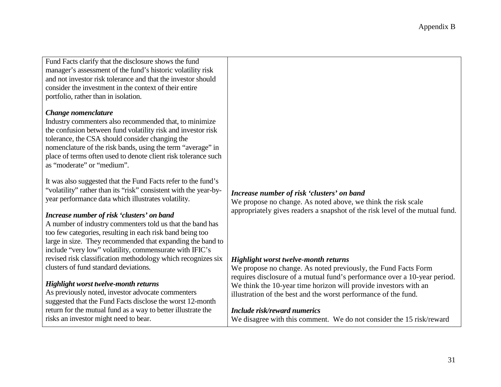Fund Facts clarify that the disclosure shows the fund manager's assessment of the fund's historic volatility risk and not investor risk tolerance and that the investor should consider the investment in the context of their entire portfolio, rather than in isolation.

#### *Change nomenclature*

Industry commenters also recommended that, to minimize the confusion between fund volatility risk and investor risk tolerance, the CSA should consider changing the nomenclature of the risk bands, using the term "average" in place of terms often used to denote client risk tolerance such as "moderate" or "medium".

It was also suggested that the Fund Facts refer to the fund's "volatility" rather than its "risk" consistent with the year-byyear performance data which illustrates volatility.

### *Increase number of risk 'clusters' on band*

A number of industry commenters told us that the band has too few categories, resulting in each risk band being too large in size. They recommended that expanding the band to include "very low" volatility, commensurate with IFIC's revised risk classification methodology which recognizes six clusters of fund standard deviations.

#### *Highlight worst twelve-month returns*

As previously noted, investor advocate commenters suggested that the Fund Facts disclose the worst 12-month return for the mutual fund as a way to better illustrate the risks an investor might need to bear.

### *Increase number of risk 'clusters' on band*

We propose no change. As noted above, we think the risk scale appropriately gives readers a snapshot of the risk level of the mutual fund.

#### *Highlight worst twelve-month returns*

We propose no change. As noted previously, the Fund Facts Form requires disclosure of a mutual fund's performance over a 10-year period. We think the 10-year time horizon will provide investors with an illustration of the best and the worst performance of the fund.

#### *Include risk/reward numerics*

We disagree with this comment. We do not consider the 15 risk/reward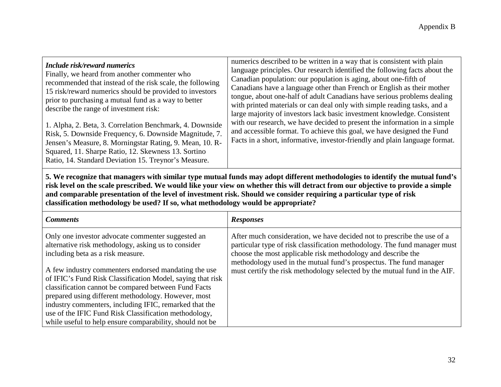| Include risk/reward numerics<br>Finally, we heard from another commenter who<br>recommended that instead of the risk scale, the following<br>15 risk/reward numerics should be provided to investors<br>prior to purchasing a mutual fund as a way to better<br>describe the range of investment risk: | numerics described to be written in a way that is consistent with plain<br>language principles. Our research identified the following facts about the<br>Canadian population: our population is aging, about one-fifth of<br>Canadians have a language other than French or English as their mother<br>tongue, about one-half of adult Canadians have serious problems dealing<br>with printed materials or can deal only with simple reading tasks, and a<br>large majority of investors lack basic investment knowledge. Consistent |
|--------------------------------------------------------------------------------------------------------------------------------------------------------------------------------------------------------------------------------------------------------------------------------------------------------|---------------------------------------------------------------------------------------------------------------------------------------------------------------------------------------------------------------------------------------------------------------------------------------------------------------------------------------------------------------------------------------------------------------------------------------------------------------------------------------------------------------------------------------|
| 1. Alpha, 2. Beta, 3. Correlation Benchmark, 4. Downside<br>Risk, 5. Downside Frequency, 6. Downside Magnitude, 7.<br>Jensen's Measure, 8. Morningstar Rating, 9. Mean, 10. R-<br>Squared, 11. Sharpe Ratio, 12. Skewness 13. Sortino<br>Ratio, 14. Standard Deviation 15. Treynor's Measure.          | with our research, we have decided to present the information in a simple<br>and accessible format. To achieve this goal, we have designed the Fund<br>Facts in a short, informative, investor-friendly and plain language format.                                                                                                                                                                                                                                                                                                    |

**5. We recognize that managers with similar type mutual funds may adopt different methodologies to identify the mutual fund's risk level on the scale prescribed. We would like your view on whether this will detract from our objective to provide a simple and comparable presentation of the level of investment risk. Should we consider requiring a particular type of risk classification methodology be used? If so, what methodology would be appropriate?**

| <b>Comments</b>                                                                                                    | <b>Responses</b>                                                                                                                                     |
|--------------------------------------------------------------------------------------------------------------------|------------------------------------------------------------------------------------------------------------------------------------------------------|
| Only one investor advocate commenter suggested an<br>alternative risk methodology, asking us to consider           | After much consideration, we have decided not to prescribe the use of a<br>particular type of risk classification methodology. The fund manager must |
| including beta as a risk measure.                                                                                  | choose the most applicable risk methodology and describe the                                                                                         |
|                                                                                                                    | methodology used in the mutual fund's prospectus. The fund manager                                                                                   |
| A few industry commenters endorsed mandating the use<br>of IFIC's Fund Risk Classification Model, saying that risk | must certify the risk methodology selected by the mutual fund in the AIF.                                                                            |
| classification cannot be compared between Fund Facts                                                               |                                                                                                                                                      |
| prepared using different methodology. However, most                                                                |                                                                                                                                                      |
| industry commenters, including IFIC, remarked that the                                                             |                                                                                                                                                      |
| use of the IFIC Fund Risk Classification methodology,                                                              |                                                                                                                                                      |
| while useful to help ensure comparability, should not be                                                           |                                                                                                                                                      |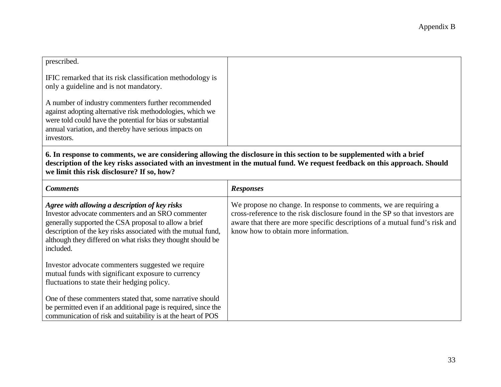| prescribed.                                                                                                                                                                                                                                           |  |
|-------------------------------------------------------------------------------------------------------------------------------------------------------------------------------------------------------------------------------------------------------|--|
| IFIC remarked that its risk classification methodology is<br>only a guideline and is not mandatory.                                                                                                                                                   |  |
| A number of industry commenters further recommended<br>against adopting alternative risk methodologies, which we<br>were told could have the potential for bias or substantial<br>annual variation, and thereby have serious impacts on<br>investors. |  |

**6. In response to comments, we are considering allowing the disclosure in this section to be supplemented with a brief description of the key risks associated with an investment in the mutual fund. We request feedback on this approach. Should we limit this risk disclosure? If so, how?**

| <b>Comments</b>                                                                                                                                                                                                                                                                                           | <b>Responses</b>                                                                                                                                                                                                                                                         |
|-----------------------------------------------------------------------------------------------------------------------------------------------------------------------------------------------------------------------------------------------------------------------------------------------------------|--------------------------------------------------------------------------------------------------------------------------------------------------------------------------------------------------------------------------------------------------------------------------|
| Agree with allowing a description of key risks<br>Investor advocate commenters and an SRO commenter<br>generally supported the CSA proposal to allow a brief<br>description of the key risks associated with the mutual fund,<br>although they differed on what risks they thought should be<br>included. | We propose no change. In response to comments, we are requiring a<br>cross-reference to the risk disclosure found in the SP so that investors are<br>aware that there are more specific descriptions of a mutual fund's risk and<br>know how to obtain more information. |
| Investor advocate commenters suggested we require<br>mutual funds with significant exposure to currency<br>fluctuations to state their hedging policy.                                                                                                                                                    |                                                                                                                                                                                                                                                                          |
| One of these commenters stated that, some narrative should<br>be permitted even if an additional page is required, since the<br>communication of risk and suitability is at the heart of POS                                                                                                              |                                                                                                                                                                                                                                                                          |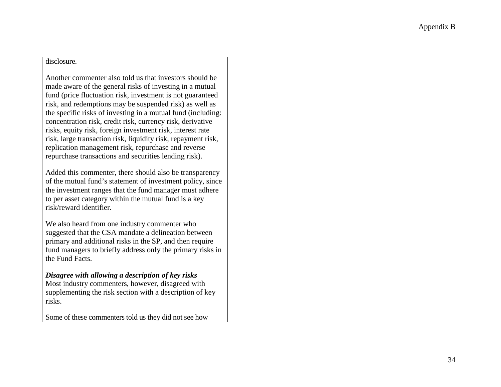#### disclosure.

Another commenter also told us that investors should be made aware of the general risks of investing in a mutual fund (price fluctuation risk, investment is not guaranteed risk, and redemptions may be suspended risk) as well as the specific risks of investing in a mutual fund (including: concentration risk, credit risk, currency risk, derivative risks, equity risk, foreign investment risk, interest rate risk, large transaction risk, liquidity risk, repayment risk, replication management risk, repurchase and reverse repurchase transactions and securities lending risk).

Added this commenter, there should also be transparency of the mutual fund's statement of investment policy, since the investment ranges that the fund manager must adhere to per asset category within the mutual fund is a key risk/reward identifier.

We also heard from one industry commenter who suggested that the CSA mandate a delineation between primary and additional risks in the SP, and then require fund managers to briefly address only the primary risks in the Fund Facts.

## *Disagree with allowing a description of key risks*

Most industry commenters, however, disagreed with supplementing the risk section with a description of key risks.

Some of these commenters told us they did not see how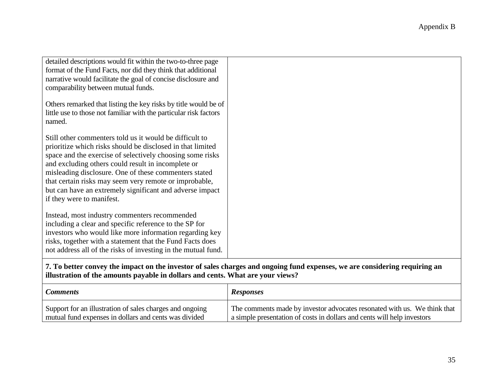| detailed descriptions would fit within the two-to-three page<br>format of the Fund Facts, nor did they think that additional<br>narrative would facilitate the goal of concise disclosure and<br>comparability between mutual funds.                                                                                                                                                                                                                 |  |
|------------------------------------------------------------------------------------------------------------------------------------------------------------------------------------------------------------------------------------------------------------------------------------------------------------------------------------------------------------------------------------------------------------------------------------------------------|--|
| Others remarked that listing the key risks by title would be of<br>little use to those not familiar with the particular risk factors<br>named.                                                                                                                                                                                                                                                                                                       |  |
| Still other commenters told us it would be difficult to<br>prioritize which risks should be disclosed in that limited<br>space and the exercise of selectively choosing some risks<br>and excluding others could result in incomplete or<br>misleading disclosure. One of these commenters stated<br>that certain risks may seem very remote or improbable,<br>but can have an extremely significant and adverse impact<br>if they were to manifest. |  |
| Instead, most industry commenters recommended<br>including a clear and specific reference to the SP for<br>investors who would like more information regarding key<br>risks, together with a statement that the Fund Facts does<br>not address all of the risks of investing in the mutual fund.                                                                                                                                                     |  |

**7. To better convey the impact on the investor of sales charges and ongoing fund expenses, we are considering requiring an illustration of the amounts payable in dollars and cents. What are your views?**

| <b>Comments</b>                                          | <b>Responses</b>                                                         |
|----------------------------------------------------------|--------------------------------------------------------------------------|
| Support for an illustration of sales charges and ongoing | The comments made by investor advocates resonated with us. We think that |
| mutual fund expenses in dollars and cents was divided    | a simple presentation of costs in dollars and cents will help investors  |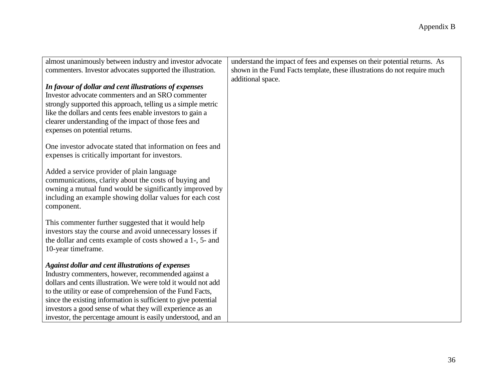| almost unanimously between industry and investor advocate                                                                 | understand the impact of fees and expenses on their potential returns. As |
|---------------------------------------------------------------------------------------------------------------------------|---------------------------------------------------------------------------|
| commenters. Investor advocates supported the illustration.                                                                | shown in the Fund Facts template, these illustrations do not require much |
|                                                                                                                           | additional space.                                                         |
| In favour of dollar and cent illustrations of expenses                                                                    |                                                                           |
| Investor advocate commenters and an SRO commenter                                                                         |                                                                           |
| strongly supported this approach, telling us a simple metric                                                              |                                                                           |
| like the dollars and cents fees enable investors to gain a                                                                |                                                                           |
| clearer understanding of the impact of those fees and                                                                     |                                                                           |
| expenses on potential returns.                                                                                            |                                                                           |
|                                                                                                                           |                                                                           |
| One investor advocate stated that information on fees and                                                                 |                                                                           |
| expenses is critically important for investors.                                                                           |                                                                           |
| Added a service provider of plain language                                                                                |                                                                           |
| communications, clarity about the costs of buying and                                                                     |                                                                           |
| owning a mutual fund would be significantly improved by                                                                   |                                                                           |
| including an example showing dollar values for each cost                                                                  |                                                                           |
| component.                                                                                                                |                                                                           |
|                                                                                                                           |                                                                           |
| This commenter further suggested that it would help                                                                       |                                                                           |
| investors stay the course and avoid unnecessary losses if                                                                 |                                                                           |
| the dollar and cents example of costs showed a 1-, 5- and                                                                 |                                                                           |
| 10-year timeframe.                                                                                                        |                                                                           |
| <b>Against dollar and cent illustrations of expenses</b>                                                                  |                                                                           |
| Industry commenters, however, recommended against a                                                                       |                                                                           |
| dollars and cents illustration. We were told it would not add                                                             |                                                                           |
| to the utility or ease of comprehension of the Fund Facts,                                                                |                                                                           |
| since the existing information is sufficient to give potential                                                            |                                                                           |
|                                                                                                                           |                                                                           |
|                                                                                                                           |                                                                           |
| investors a good sense of what they will experience as an<br>investor, the percentage amount is easily understood, and an |                                                                           |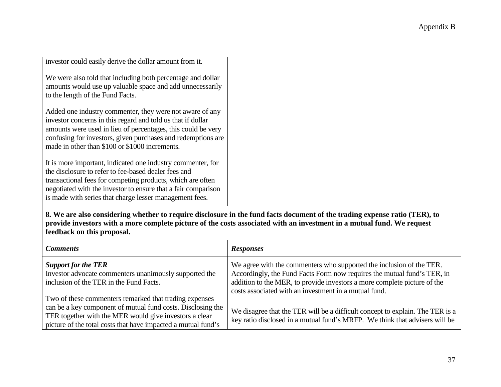| investor could easily derive the dollar amount from it.                                                                                                                                                                                                                                                       |  |
|---------------------------------------------------------------------------------------------------------------------------------------------------------------------------------------------------------------------------------------------------------------------------------------------------------------|--|
| We were also told that including both percentage and dollar<br>amounts would use up valuable space and add unnecessarily<br>to the length of the Fund Facts.                                                                                                                                                  |  |
| Added one industry commenter, they were not aware of any<br>investor concerns in this regard and told us that if dollar<br>amounts were used in lieu of percentages, this could be very<br>confusing for investors, given purchases and redemptions are<br>made in other than \$100 or \$1000 increments.     |  |
| It is more important, indicated one industry commenter, for<br>the disclosure to refer to fee-based dealer fees and<br>transactional fees for competing products, which are often<br>negotiated with the investor to ensure that a fair comparison<br>is made with series that charge lesser management fees. |  |

**8. We are also considering whether to require disclosure in the fund facts document of the trading expense ratio (TER), to provide investors with a more complete picture of the costs associated with an investment in a mutual fund. We request feedback on this proposal.**

| <b>Comments</b>                                                                                                                                                                                                                                  | <b>Responses</b>                                                                                                                                                                                                                                                                     |
|--------------------------------------------------------------------------------------------------------------------------------------------------------------------------------------------------------------------------------------------------|--------------------------------------------------------------------------------------------------------------------------------------------------------------------------------------------------------------------------------------------------------------------------------------|
| <b>Support for the TER</b><br>Investor advocate commenters unanimously supported the<br>inclusion of the TER in the Fund Facts.                                                                                                                  | We agree with the commenters who supported the inclusion of the TER.<br>Accordingly, the Fund Facts Form now requires the mutual fund's TER, in<br>addition to the MER, to provide investors a more complete picture of the<br>costs associated with an investment in a mutual fund. |
| Two of these commenters remarked that trading expenses<br>can be a key component of mutual fund costs. Disclosing the<br>TER together with the MER would give investors a clear<br>picture of the total costs that have impacted a mutual fund's | We disagree that the TER will be a difficult concept to explain. The TER is a<br>key ratio disclosed in a mutual fund's MRFP. We think that advisers will be                                                                                                                         |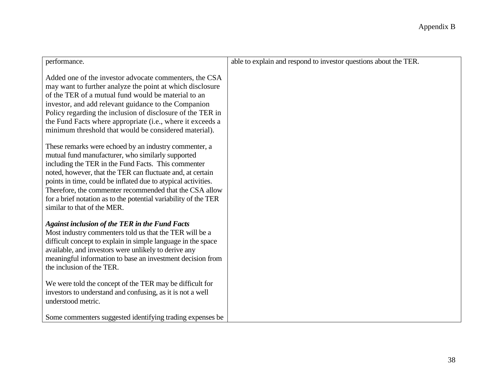| performance.                                                                                                                                                                                                                                                                                                                                                                                                                                                  | able to explain and respond to investor questions about the TER. |
|---------------------------------------------------------------------------------------------------------------------------------------------------------------------------------------------------------------------------------------------------------------------------------------------------------------------------------------------------------------------------------------------------------------------------------------------------------------|------------------------------------------------------------------|
| Added one of the investor advocate commenters, the CSA<br>may want to further analyze the point at which disclosure<br>of the TER of a mutual fund would be material to an<br>investor, and add relevant guidance to the Companion<br>Policy regarding the inclusion of disclosure of the TER in<br>the Fund Facts where appropriate (i.e., where it exceeds a<br>minimum threshold that would be considered material).                                       |                                                                  |
| These remarks were echoed by an industry commenter, a<br>mutual fund manufacturer, who similarly supported<br>including the TER in the Fund Facts. This commenter<br>noted, however, that the TER can fluctuate and, at certain<br>points in time, could be inflated due to atypical activities.<br>Therefore, the commenter recommended that the CSA allow<br>for a brief notation as to the potential variability of the TER<br>similar to that of the MER. |                                                                  |
| <b>Against inclusion of the TER in the Fund Facts</b><br>Most industry commenters told us that the TER will be a<br>difficult concept to explain in simple language in the space<br>available, and investors were unlikely to derive any<br>meaningful information to base an investment decision from<br>the inclusion of the TER.                                                                                                                           |                                                                  |
| We were told the concept of the TER may be difficult for<br>investors to understand and confusing, as it is not a well<br>understood metric.                                                                                                                                                                                                                                                                                                                  |                                                                  |
| Some commenters suggested identifying trading expenses be                                                                                                                                                                                                                                                                                                                                                                                                     |                                                                  |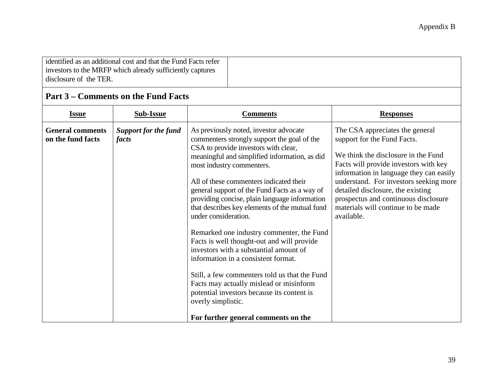| identified as an additional cost and that the Fund Facts refer<br>investors to the MRFP which already sufficiently captures |
|-----------------------------------------------------------------------------------------------------------------------------|
| disclosure of the TER.                                                                                                      |
|                                                                                                                             |

## **Part 3 – Comments on the Fund Facts**

| <b>Issue</b>                                 | <b>Sub-Issue</b>                     | <b>Comments</b>                                                                                                                                                                                                                                                                                                                                                                                                                                                                                                                                                                                                                                                                                                                                                                                                       | <b>Responses</b>                                                                                                                                                                                                                                                                                                                                                     |
|----------------------------------------------|--------------------------------------|-----------------------------------------------------------------------------------------------------------------------------------------------------------------------------------------------------------------------------------------------------------------------------------------------------------------------------------------------------------------------------------------------------------------------------------------------------------------------------------------------------------------------------------------------------------------------------------------------------------------------------------------------------------------------------------------------------------------------------------------------------------------------------------------------------------------------|----------------------------------------------------------------------------------------------------------------------------------------------------------------------------------------------------------------------------------------------------------------------------------------------------------------------------------------------------------------------|
| <b>General comments</b><br>on the fund facts | <b>Support for the fund</b><br>facts | As previously noted, investor advocate<br>commenters strongly support the goal of the<br>CSA to provide investors with clear,<br>meaningful and simplified information, as did<br>most industry commenters.<br>All of these commenters indicated their<br>general support of the Fund Facts as a way of<br>providing concise, plain language information<br>that describes key elements of the mutual fund<br>under consideration.<br>Remarked one industry commenter, the Fund<br>Facts is well thought-out and will provide<br>investors with a substantial amount of<br>information in a consistent format.<br>Still, a few commenters told us that the Fund<br>Facts may actually mislead or misinform<br>potential investors because its content is<br>overly simplistic.<br>For further general comments on the | The CSA appreciates the general<br>support for the Fund Facts.<br>We think the disclosure in the Fund<br>Facts will provide investors with key<br>information in language they can easily<br>understand. For investors seeking more<br>detailed disclosure, the existing<br>prospectus and continuous disclosure<br>materials will continue to be made<br>available. |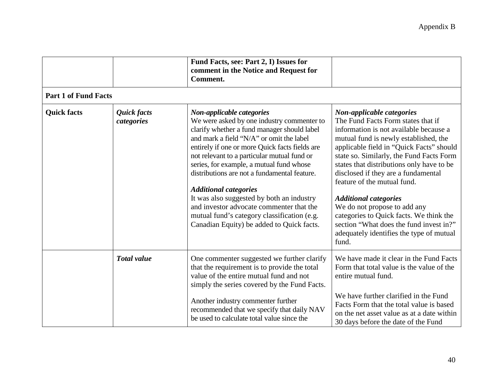|                             |                           | Fund Facts, see: Part 2, I) Issues for<br>comment in the Notice and Request for<br>Comment.                                                                                                                                                                                                                                                                                                                                                                                                                                                                                          |                                                                                                                                                                                                                                                                                                                                                                                                                                                                                                                                                                          |
|-----------------------------|---------------------------|--------------------------------------------------------------------------------------------------------------------------------------------------------------------------------------------------------------------------------------------------------------------------------------------------------------------------------------------------------------------------------------------------------------------------------------------------------------------------------------------------------------------------------------------------------------------------------------|--------------------------------------------------------------------------------------------------------------------------------------------------------------------------------------------------------------------------------------------------------------------------------------------------------------------------------------------------------------------------------------------------------------------------------------------------------------------------------------------------------------------------------------------------------------------------|
| <b>Part 1 of Fund Facts</b> |                           |                                                                                                                                                                                                                                                                                                                                                                                                                                                                                                                                                                                      |                                                                                                                                                                                                                                                                                                                                                                                                                                                                                                                                                                          |
| <b>Quick facts</b>          | Quick facts<br>categories | Non-applicable categories<br>We were asked by one industry commenter to<br>clarify whether a fund manager should label<br>and mark a field "N/A" or omit the label<br>entirely if one or more Quick facts fields are<br>not relevant to a particular mutual fund or<br>series, for example, a mutual fund whose<br>distributions are not a fundamental feature.<br><b>Additional categories</b><br>It was also suggested by both an industry<br>and investor advocate commenter that the<br>mutual fund's category classification (e.g.<br>Canadian Equity) be added to Quick facts. | Non-applicable categories<br>The Fund Facts Form states that if<br>information is not available because a<br>mutual fund is newly established, the<br>applicable field in "Quick Facts" should<br>state so. Similarly, the Fund Facts Form<br>states that distributions only have to be<br>disclosed if they are a fundamental<br>feature of the mutual fund.<br><b>Additional categories</b><br>We do not propose to add any<br>categories to Quick facts. We think the<br>section "What does the fund invest in?"<br>adequately identifies the type of mutual<br>fund. |
|                             | <b>Total value</b>        | One commenter suggested we further clarify<br>that the requirement is to provide the total<br>value of the entire mutual fund and not<br>simply the series covered by the Fund Facts.<br>Another industry commenter further<br>recommended that we specify that daily NAV<br>be used to calculate total value since the                                                                                                                                                                                                                                                              | We have made it clear in the Fund Facts<br>Form that total value is the value of the<br>entire mutual fund.<br>We have further clarified in the Fund<br>Facts Form that the total value is based<br>on the net asset value as at a date within<br>30 days before the date of the Fund                                                                                                                                                                                                                                                                                    |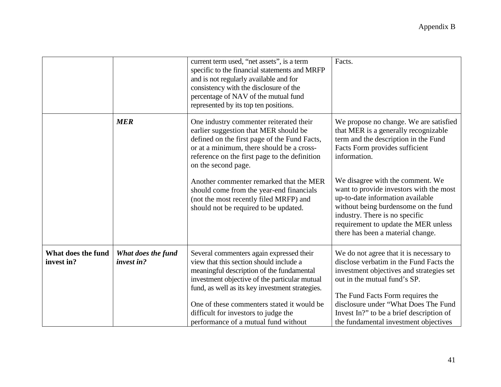|                                  |                                  | current term used, "net assets", is a term<br>specific to the financial statements and MRFP<br>and is not regularly available and for<br>consistency with the disclosure of the<br>percentage of NAV of the mutual fund<br>represented by its top ten positions.                                                                                                   | Facts.                                                                                                                                                                                                                                                                                                                          |
|----------------------------------|----------------------------------|--------------------------------------------------------------------------------------------------------------------------------------------------------------------------------------------------------------------------------------------------------------------------------------------------------------------------------------------------------------------|---------------------------------------------------------------------------------------------------------------------------------------------------------------------------------------------------------------------------------------------------------------------------------------------------------------------------------|
|                                  | <b>MER</b>                       | One industry commenter reiterated their<br>earlier suggestion that MER should be<br>defined on the first page of the Fund Facts,<br>or at a minimum, there should be a cross-<br>reference on the first page to the definition<br>on the second page.                                                                                                              | We propose no change. We are satisfied<br>that MER is a generally recognizable<br>term and the description in the Fund<br>Facts Form provides sufficient<br>information.                                                                                                                                                        |
|                                  |                                  | Another commenter remarked that the MER<br>should come from the year-end financials<br>(not the most recently filed MRFP) and<br>should not be required to be updated.                                                                                                                                                                                             | We disagree with the comment. We<br>want to provide investors with the most<br>up-to-date information available<br>without being burdensome on the fund<br>industry. There is no specific<br>requirement to update the MER unless<br>there has been a material change.                                                          |
| What does the fund<br>invest in? | What does the fund<br>invest in? | Several commenters again expressed their<br>view that this section should include a<br>meaningful description of the fundamental<br>investment objective of the particular mutual<br>fund, as well as its key investment strategies.<br>One of these commenters stated it would be<br>difficult for investors to judge the<br>performance of a mutual fund without | We do not agree that it is necessary to<br>disclose verbatim in the Fund Facts the<br>investment objectives and strategies set<br>out in the mutual fund's SP.<br>The Fund Facts Form requires the<br>disclosure under "What Does The Fund<br>Invest In?" to be a brief description of<br>the fundamental investment objectives |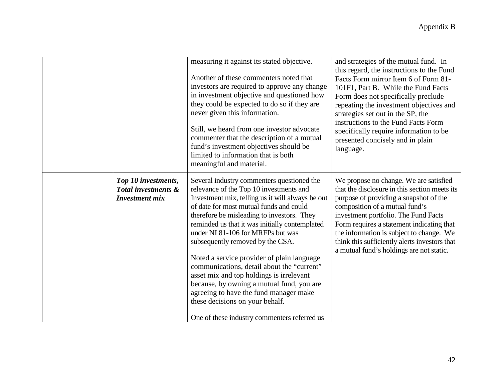|                                                                     | measuring it against its stated objective.<br>Another of these commenters noted that                                                                                                                                                                                                                                                                                                                                                                                                                                                                                                                                                                                            | and strategies of the mutual fund. In<br>this regard, the instructions to the Fund                                                                                                                                                                                                                                                                                                                |
|---------------------------------------------------------------------|---------------------------------------------------------------------------------------------------------------------------------------------------------------------------------------------------------------------------------------------------------------------------------------------------------------------------------------------------------------------------------------------------------------------------------------------------------------------------------------------------------------------------------------------------------------------------------------------------------------------------------------------------------------------------------|---------------------------------------------------------------------------------------------------------------------------------------------------------------------------------------------------------------------------------------------------------------------------------------------------------------------------------------------------------------------------------------------------|
|                                                                     | investors are required to approve any change<br>in investment objective and questioned how<br>they could be expected to do so if they are<br>never given this information.<br>Still, we heard from one investor advocate<br>commenter that the description of a mutual<br>fund's investment objectives should be<br>limited to information that is both<br>meaningful and material.                                                                                                                                                                                                                                                                                             | Facts Form mirror Item 6 of Form 81-<br>101F1, Part B. While the Fund Facts<br>Form does not specifically preclude<br>repeating the investment objectives and<br>strategies set out in the SP, the<br>instructions to the Fund Facts Form<br>specifically require information to be<br>presented concisely and in plain<br>language.                                                              |
| Top 10 investments,<br>Total investments &<br><b>Investment</b> mix | Several industry commenters questioned the<br>relevance of the Top 10 investments and<br>Investment mix, telling us it will always be out<br>of date for most mutual funds and could<br>therefore be misleading to investors. They<br>reminded us that it was initially contemplated<br>under NI 81-106 for MRFPs but was<br>subsequently removed by the CSA.<br>Noted a service provider of plain language<br>communications, detail about the "current"<br>asset mix and top holdings is irrelevant<br>because, by owning a mutual fund, you are<br>agreeing to have the fund manager make<br>these decisions on your behalf.<br>One of these industry commenters referred us | We propose no change. We are satisfied<br>that the disclosure in this section meets its<br>purpose of providing a snapshot of the<br>composition of a mutual fund's<br>investment portfolio. The Fund Facts<br>Form requires a statement indicating that<br>the information is subject to change. We<br>think this sufficiently alerts investors that<br>a mutual fund's holdings are not static. |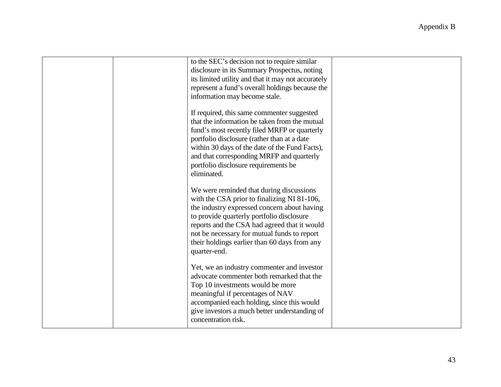|  | to the SEC's decision not to require similar<br>disclosure in its Summary Prospectus, noting<br>its limited utility and that it may not accurately<br>represent a fund's overall holdings because the<br>information may become stale.                                                                                                             |  |
|--|----------------------------------------------------------------------------------------------------------------------------------------------------------------------------------------------------------------------------------------------------------------------------------------------------------------------------------------------------|--|
|  | If required, this same commenter suggested<br>that the information be taken from the mutual<br>fund's most recently filed MRFP or quarterly<br>portfolio disclosure (rather than at a date<br>within 30 days of the date of the Fund Facts),<br>and that corresponding MRFP and quarterly<br>portfolio disclosure requirements be<br>eliminated.   |  |
|  | We were reminded that during discussions<br>with the CSA prior to finalizing NI 81-106,<br>the industry expressed concern about having<br>to provide quarterly portfolio disclosure<br>reports and the CSA had agreed that it would<br>not be necessary for mutual funds to report<br>their holdings earlier than 60 days from any<br>quarter-end. |  |
|  | Yet, we an industry commenter and investor<br>advocate commenter both remarked that the<br>Top 10 investments would be more<br>meaningful if percentages of NAV<br>accompanied each holding, since this would<br>give investors a much better understanding of<br>concentration risk.                                                              |  |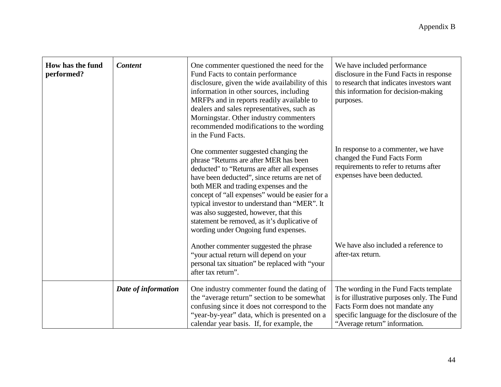| How has the fund<br>performed? | <b>Content</b>      | One commenter questioned the need for the<br>Fund Facts to contain performance<br>disclosure, given the wide availability of this<br>information in other sources, including<br>MRFPs and in reports readily available to<br>dealers and sales representatives, such as<br>Morningstar. Other industry commenters<br>recommended modifications to the wording<br>in the Fund Facts.                                                                            | We have included performance<br>disclosure in the Fund Facts in response<br>to research that indicates investors want<br>this information for decision-making<br>purposes.                               |
|--------------------------------|---------------------|----------------------------------------------------------------------------------------------------------------------------------------------------------------------------------------------------------------------------------------------------------------------------------------------------------------------------------------------------------------------------------------------------------------------------------------------------------------|----------------------------------------------------------------------------------------------------------------------------------------------------------------------------------------------------------|
|                                |                     | One commenter suggested changing the<br>phrase "Returns are after MER has been<br>deducted" to "Returns are after all expenses<br>have been deducted", since returns are net of<br>both MER and trading expenses and the<br>concept of "all expenses" would be easier for a<br>typical investor to understand than "MER". It<br>was also suggested, however, that this<br>statement be removed, as it's duplicative of<br>wording under Ongoing fund expenses. | In response to a commenter, we have<br>changed the Fund Facts Form<br>requirements to refer to returns after<br>expenses have been deducted.                                                             |
|                                |                     | Another commenter suggested the phrase<br>"your actual return will depend on your<br>personal tax situation" be replaced with "your<br>after tax return".                                                                                                                                                                                                                                                                                                      | We have also included a reference to<br>after-tax return.                                                                                                                                                |
|                                | Date of information | One industry commenter found the dating of<br>the "average return" section to be somewhat<br>confusing since it does not correspond to the<br>"year-by-year" data, which is presented on a<br>calendar year basis. If, for example, the                                                                                                                                                                                                                        | The wording in the Fund Facts template<br>is for illustrative purposes only. The Fund<br>Facts Form does not mandate any<br>specific language for the disclosure of the<br>"Average return" information. |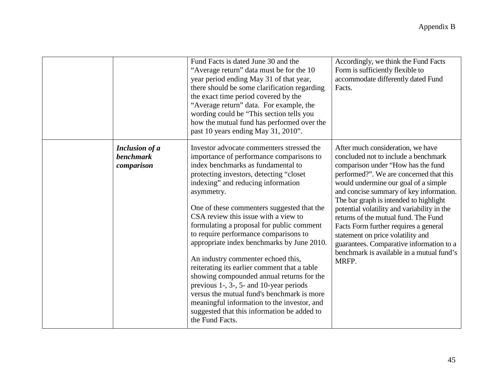|                                                         | Fund Facts is dated June 30 and the<br>"Average return" data must be for the 10<br>year period ending May 31 of that year,<br>there should be some clarification regarding<br>the exact time period covered by the<br>"Average return" data. For example, the<br>wording could be "This section tells you<br>how the mutual fund has performed over the<br>past 10 years ending May 31, 2010".                                                                                                                                                                                                                                                                                                                                                                                                    | Accordingly, we think the Fund Facts<br>Form is sufficiently flexible to<br>accommodate differently dated Fund<br>Facts.                                                                                                                                                                                                                                                                                                                                                                                                                                       |
|---------------------------------------------------------|---------------------------------------------------------------------------------------------------------------------------------------------------------------------------------------------------------------------------------------------------------------------------------------------------------------------------------------------------------------------------------------------------------------------------------------------------------------------------------------------------------------------------------------------------------------------------------------------------------------------------------------------------------------------------------------------------------------------------------------------------------------------------------------------------|----------------------------------------------------------------------------------------------------------------------------------------------------------------------------------------------------------------------------------------------------------------------------------------------------------------------------------------------------------------------------------------------------------------------------------------------------------------------------------------------------------------------------------------------------------------|
| <b>Inclusion of a</b><br><b>benchmark</b><br>comparison | Investor advocate commenters stressed the<br>importance of performance comparisons to<br>index benchmarks as fundamental to<br>protecting investors, detecting "closet<br>indexing" and reducing information<br>asymmetry.<br>One of these commenters suggested that the<br>CSA review this issue with a view to<br>formulating a proposal for public comment<br>to require performance comparisons to<br>appropriate index benchmarks by June 2010.<br>An industry commenter echoed this,<br>reiterating its earlier comment that a table<br>showing compounded annual returns for the<br>previous 1-, 3-, 5- and 10-year periods<br>versus the mutual fund's benchmark is more<br>meaningful information to the investor, and<br>suggested that this information be added to<br>the Fund Facts. | After much consideration, we have<br>concluded not to include a benchmark<br>comparison under "How has the fund<br>performed?". We are concerned that this<br>would undermine our goal of a simple<br>and concise summary of key information.<br>The bar graph is intended to highlight<br>potential volatility and variability in the<br>returns of the mutual fund. The Fund<br>Facts Form further requires a general<br>statement on price volatility and<br>guarantees. Comparative information to a<br>benchmark is available in a mutual fund's<br>MRFP. |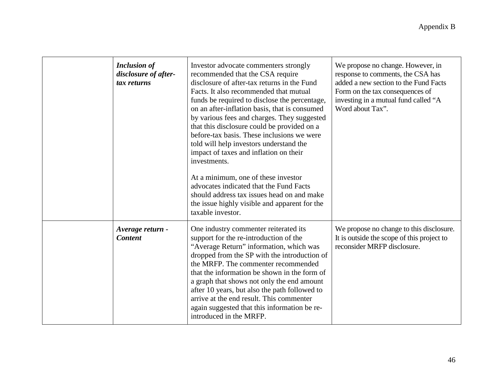| <b>Inclusion of</b><br>disclosure of after-<br>tax returns | Investor advocate commenters strongly<br>recommended that the CSA require<br>disclosure of after-tax returns in the Fund<br>Facts. It also recommended that mutual<br>funds be required to disclose the percentage,<br>on an after-inflation basis, that is consumed<br>by various fees and charges. They suggested<br>that this disclosure could be provided on a<br>before-tax basis. These inclusions we were<br>told will help investors understand the<br>impact of taxes and inflation on their<br>investments.<br>At a minimum, one of these investor<br>advocates indicated that the Fund Facts<br>should address tax issues head on and make<br>the issue highly visible and apparent for the<br>taxable investor. | We propose no change. However, in<br>response to comments, the CSA has<br>added a new section to the Fund Facts<br>Form on the tax consequences of<br>investing in a mutual fund called "A<br>Word about Tax". |
|------------------------------------------------------------|-----------------------------------------------------------------------------------------------------------------------------------------------------------------------------------------------------------------------------------------------------------------------------------------------------------------------------------------------------------------------------------------------------------------------------------------------------------------------------------------------------------------------------------------------------------------------------------------------------------------------------------------------------------------------------------------------------------------------------|----------------------------------------------------------------------------------------------------------------------------------------------------------------------------------------------------------------|
| Average return -<br><b>Content</b>                         | One industry commenter reiterated its<br>support for the re-introduction of the<br>"Average Return" information, which was<br>dropped from the SP with the introduction of<br>the MRFP. The commenter recommended<br>that the information be shown in the form of<br>a graph that shows not only the end amount<br>after 10 years, but also the path followed to<br>arrive at the end result. This commenter<br>again suggested that this information be re-<br>introduced in the MRFP.                                                                                                                                                                                                                                     | We propose no change to this disclosure.<br>It is outside the scope of this project to<br>reconsider MRFP disclosure.                                                                                          |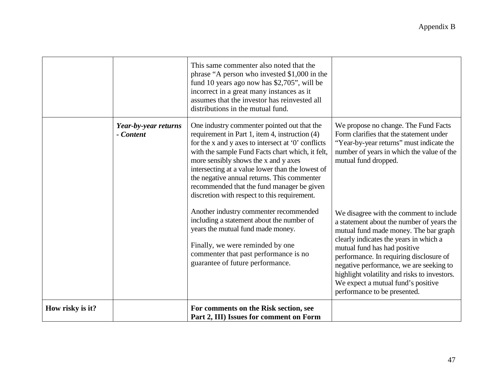|                  |                                   | This same commenter also noted that the<br>phrase "A person who invested \$1,000 in the<br>fund 10 years ago now has \$2,705", will be<br>incorrect in a great many instances as it<br>assumes that the investor has reinvested all<br>distributions in the mutual fund.                                                                                                                                                                         |                                                                                                                                                                                                                                                                                                                                                                                                                     |
|------------------|-----------------------------------|--------------------------------------------------------------------------------------------------------------------------------------------------------------------------------------------------------------------------------------------------------------------------------------------------------------------------------------------------------------------------------------------------------------------------------------------------|---------------------------------------------------------------------------------------------------------------------------------------------------------------------------------------------------------------------------------------------------------------------------------------------------------------------------------------------------------------------------------------------------------------------|
|                  | Year-by-year returns<br>- Content | One industry commenter pointed out that the<br>requirement in Part 1, item 4, instruction (4)<br>for the x and y axes to intersect at '0' conflicts<br>with the sample Fund Facts chart which, it felt,<br>more sensibly shows the x and y axes<br>intersecting at a value lower than the lowest of<br>the negative annual returns. This commenter<br>recommended that the fund manager be given<br>discretion with respect to this requirement. | We propose no change. The Fund Facts<br>Form clarifies that the statement under<br>"Year-by-year returns" must indicate the<br>number of years in which the value of the<br>mutual fund dropped.                                                                                                                                                                                                                    |
|                  |                                   | Another industry commenter recommended<br>including a statement about the number of<br>years the mutual fund made money.<br>Finally, we were reminded by one<br>commenter that past performance is no<br>guarantee of future performance.                                                                                                                                                                                                        | We disagree with the comment to include<br>a statement about the number of years the<br>mutual fund made money. The bar graph<br>clearly indicates the years in which a<br>mutual fund has had positive<br>performance. In requiring disclosure of<br>negative performance, we are seeking to<br>highlight volatility and risks to investors.<br>We expect a mutual fund's positive<br>performance to be presented. |
| How risky is it? |                                   | For comments on the Risk section, see<br>Part 2, III) Issues for comment on Form                                                                                                                                                                                                                                                                                                                                                                 |                                                                                                                                                                                                                                                                                                                                                                                                                     |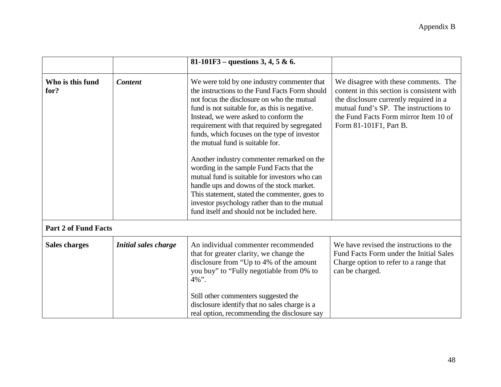|                             |                             | 81-101F3 – questions 3, 4, 5 & 6.                                                                                                                                                                                                                                                                                                                                                                                                                                                                                                                                                                                                                                                                                     |                                                                                                                                                                                                                                          |
|-----------------------------|-----------------------------|-----------------------------------------------------------------------------------------------------------------------------------------------------------------------------------------------------------------------------------------------------------------------------------------------------------------------------------------------------------------------------------------------------------------------------------------------------------------------------------------------------------------------------------------------------------------------------------------------------------------------------------------------------------------------------------------------------------------------|------------------------------------------------------------------------------------------------------------------------------------------------------------------------------------------------------------------------------------------|
| Who is this fund<br>for?    | <b>Content</b>              | We were told by one industry commenter that<br>the instructions to the Fund Facts Form should<br>not focus the disclosure on who the mutual<br>fund is not suitable for, as this is negative.<br>Instead, we were asked to conform the<br>requirement with that required by segregated<br>funds, which focuses on the type of investor<br>the mutual fund is suitable for.<br>Another industry commenter remarked on the<br>wording in the sample Fund Facts that the<br>mutual fund is suitable for investors who can<br>handle ups and downs of the stock market.<br>This statement, stated the commenter, goes to<br>investor psychology rather than to the mutual<br>fund itself and should not be included here. | We disagree with these comments. The<br>content in this section is consistent with<br>the disclosure currently required in a<br>mutual fund's SP. The instructions to<br>the Fund Facts Form mirror Item 10 of<br>Form 81-101F1, Part B. |
| <b>Part 2 of Fund Facts</b> |                             |                                                                                                                                                                                                                                                                                                                                                                                                                                                                                                                                                                                                                                                                                                                       |                                                                                                                                                                                                                                          |
| <b>Sales charges</b>        | <b>Initial sales charge</b> | An individual commenter recommended<br>that for greater clarity, we change the<br>disclosure from "Up to 4% of the amount<br>you buy" to "Fully negotiable from 0% to<br>$4\%$ ".<br>Still other commenters suggested the<br>disclosure identify that no sales charge is a<br>real option, recommending the disclosure say                                                                                                                                                                                                                                                                                                                                                                                            | We have revised the instructions to the<br>Fund Facts Form under the Initial Sales<br>Charge option to refer to a range that<br>can be charged.                                                                                          |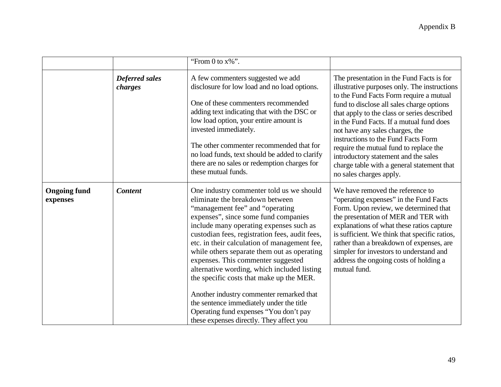|                                 |                                  | "From 0 to $x\%$ ".                                                                                                                                                                                                                                                                                                                                                                                                                                                                                                                                                                                                                                               |                                                                                                                                                                                                                                                                                                                                                                                                                                                                                                                   |
|---------------------------------|----------------------------------|-------------------------------------------------------------------------------------------------------------------------------------------------------------------------------------------------------------------------------------------------------------------------------------------------------------------------------------------------------------------------------------------------------------------------------------------------------------------------------------------------------------------------------------------------------------------------------------------------------------------------------------------------------------------|-------------------------------------------------------------------------------------------------------------------------------------------------------------------------------------------------------------------------------------------------------------------------------------------------------------------------------------------------------------------------------------------------------------------------------------------------------------------------------------------------------------------|
|                                 | <b>Deferred sales</b><br>charges | A few commenters suggested we add<br>disclosure for low load and no load options.<br>One of these commenters recommended<br>adding text indicating that with the DSC or<br>low load option, your entire amount is<br>invested immediately.<br>The other commenter recommended that for<br>no load funds, text should be added to clarify<br>there are no sales or redemption charges for<br>these mutual funds.                                                                                                                                                                                                                                                   | The presentation in the Fund Facts is for<br>illustrative purposes only. The instructions<br>to the Fund Facts Form require a mutual<br>fund to disclose all sales charge options<br>that apply to the class or series described<br>in the Fund Facts. If a mutual fund does<br>not have any sales charges, the<br>instructions to the Fund Facts Form<br>require the mutual fund to replace the<br>introductory statement and the sales<br>charge table with a general statement that<br>no sales charges apply. |
| <b>Ongoing fund</b><br>expenses | <b>Content</b>                   | One industry commenter told us we should<br>eliminate the breakdown between<br>"management fee" and "operating<br>expenses", since some fund companies<br>include many operating expenses such as<br>custodian fees, registration fees, audit fees,<br>etc. in their calculation of management fee,<br>while others separate them out as operating<br>expenses. This commenter suggested<br>alternative wording, which included listing<br>the specific costs that make up the MER.<br>Another industry commenter remarked that<br>the sentence immediately under the title<br>Operating fund expenses "You don't pay<br>these expenses directly. They affect you | We have removed the reference to<br>"operating expenses" in the Fund Facts<br>Form. Upon review, we determined that<br>the presentation of MER and TER with<br>explanations of what these ratios capture<br>is sufficient. We think that specific ratios,<br>rather than a breakdown of expenses, are<br>simpler for investors to understand and<br>address the ongoing costs of holding a<br>mutual fund.                                                                                                        |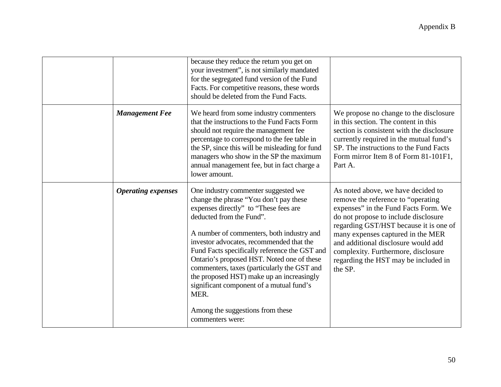|                           | because they reduce the return you get on<br>your investment", is not similarly mandated<br>for the segregated fund version of the Fund<br>Facts. For competitive reasons, these words<br>should be deleted from the Fund Facts.                                                                                                                                                                                                                                                                                                                   |                                                                                                                                                                                                                                                                                                                                                                           |
|---------------------------|----------------------------------------------------------------------------------------------------------------------------------------------------------------------------------------------------------------------------------------------------------------------------------------------------------------------------------------------------------------------------------------------------------------------------------------------------------------------------------------------------------------------------------------------------|---------------------------------------------------------------------------------------------------------------------------------------------------------------------------------------------------------------------------------------------------------------------------------------------------------------------------------------------------------------------------|
| <b>Management Fee</b>     | We heard from some industry commenters<br>that the instructions to the Fund Facts Form<br>should not require the management fee<br>percentage to correspond to the fee table in<br>the SP, since this will be misleading for fund<br>managers who show in the SP the maximum<br>annual management fee, but in fact charge a<br>lower amount.                                                                                                                                                                                                       | We propose no change to the disclosure<br>in this section. The content in this<br>section is consistent with the disclosure<br>currently required in the mutual fund's<br>SP. The instructions to the Fund Facts<br>Form mirror Item 8 of Form 81-101F1,<br>Part A.                                                                                                       |
| <b>Operating expenses</b> | One industry commenter suggested we<br>change the phrase "You don't pay these<br>expenses directly" to "These fees are<br>deducted from the Fund".<br>A number of commenters, both industry and<br>investor advocates, recommended that the<br>Fund Facts specifically reference the GST and<br>Ontario's proposed HST. Noted one of these<br>commenters, taxes (particularly the GST and<br>the proposed HST) make up an increasingly<br>significant component of a mutual fund's<br>MER.<br>Among the suggestions from these<br>commenters were: | As noted above, we have decided to<br>remove the reference to "operating"<br>expenses" in the Fund Facts Form. We<br>do not propose to include disclosure<br>regarding GST/HST because it is one of<br>many expenses captured in the MER<br>and additional disclosure would add<br>complexity. Furthermore, disclosure<br>regarding the HST may be included in<br>the SP. |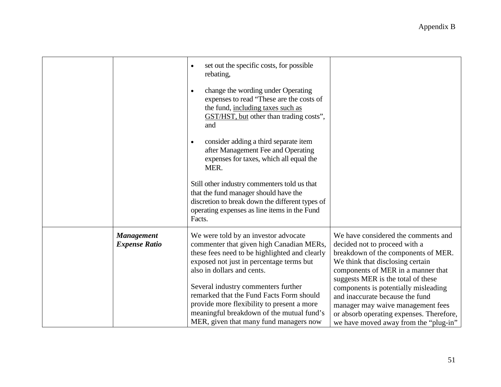|                                           | set out the specific costs, for possible<br>$\bullet$                                                                                                                                                                                                                                                                                                                                                                                                                                                                                      |                                                                                                                                                                                                                             |
|-------------------------------------------|--------------------------------------------------------------------------------------------------------------------------------------------------------------------------------------------------------------------------------------------------------------------------------------------------------------------------------------------------------------------------------------------------------------------------------------------------------------------------------------------------------------------------------------------|-----------------------------------------------------------------------------------------------------------------------------------------------------------------------------------------------------------------------------|
|                                           | rebating,<br>change the wording under Operating<br>$\bullet$<br>expenses to read "These are the costs of<br>the fund, including taxes such as<br>GST/HST, but other than trading costs",<br>and<br>consider adding a third separate item<br>$\bullet$<br>after Management Fee and Operating<br>expenses for taxes, which all equal the<br>MER.<br>Still other industry commenters told us that<br>that the fund manager should have the<br>discretion to break down the different types of<br>operating expenses as line items in the Fund |                                                                                                                                                                                                                             |
|                                           | Facts.                                                                                                                                                                                                                                                                                                                                                                                                                                                                                                                                     |                                                                                                                                                                                                                             |
| <b>Management</b><br><b>Expense Ratio</b> | We were told by an investor advocate<br>commenter that given high Canadian MERs,<br>these fees need to be highlighted and clearly<br>exposed not just in percentage terms but<br>also in dollars and cents.                                                                                                                                                                                                                                                                                                                                | We have considered the comments and<br>decided not to proceed with a<br>breakdown of the components of MER.<br>We think that disclosing certain<br>components of MER in a manner that<br>suggests MER is the total of these |
|                                           | Several industry commenters further<br>remarked that the Fund Facts Form should<br>provide more flexibility to present a more<br>meaningful breakdown of the mutual fund's<br>MER, given that many fund managers now                                                                                                                                                                                                                                                                                                                       | components is potentially misleading<br>and inaccurate because the fund<br>manager may waive management fees<br>or absorb operating expenses. Therefore,<br>we have moved away from the "plug-in"                           |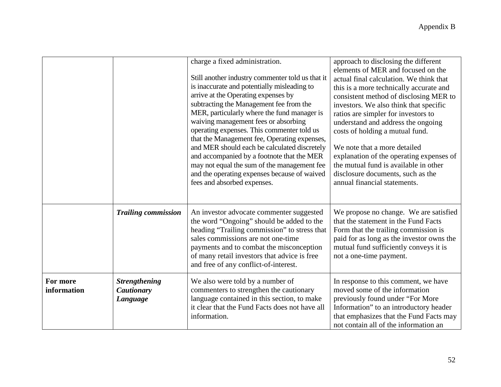|                         |                                                | charge a fixed administration.<br>Still another industry commenter told us that it<br>is inaccurate and potentially misleading to<br>arrive at the Operating expenses by<br>subtracting the Management fee from the<br>MER, particularly where the fund manager is<br>waiving management fees or absorbing<br>operating expenses. This commenter told us<br>that the Management fee, Operating expenses,<br>and MER should each be calculated discretely<br>and accompanied by a footnote that the MER<br>may not equal the sum of the management fee<br>and the operating expenses because of waived<br>fees and absorbed expenses. | approach to disclosing the different<br>elements of MER and focused on the<br>actual final calculation. We think that<br>this is a more technically accurate and<br>consistent method of disclosing MER to<br>investors. We also think that specific<br>ratios are simpler for investors to<br>understand and address the ongoing<br>costs of holding a mutual fund.<br>We note that a more detailed<br>explanation of the operating expenses of<br>the mutual fund is available in other<br>disclosure documents, such as the<br>annual financial statements. |
|-------------------------|------------------------------------------------|--------------------------------------------------------------------------------------------------------------------------------------------------------------------------------------------------------------------------------------------------------------------------------------------------------------------------------------------------------------------------------------------------------------------------------------------------------------------------------------------------------------------------------------------------------------------------------------------------------------------------------------|----------------------------------------------------------------------------------------------------------------------------------------------------------------------------------------------------------------------------------------------------------------------------------------------------------------------------------------------------------------------------------------------------------------------------------------------------------------------------------------------------------------------------------------------------------------|
|                         | <b>Trailing commission</b>                     | An investor advocate commenter suggested<br>the word "Ongoing" should be added to the<br>heading "Trailing commission" to stress that<br>sales commissions are not one-time<br>payments and to combat the misconception<br>of many retail investors that advice is free<br>and free of any conflict-of-interest.                                                                                                                                                                                                                                                                                                                     | We propose no change. We are satisfied<br>that the statement in the Fund Facts<br>Form that the trailing commission is<br>paid for as long as the investor owns the<br>mutual fund sufficiently conveys it is<br>not a one-time payment.                                                                                                                                                                                                                                                                                                                       |
| For more<br>information | <b>Strengthening</b><br>Cautionary<br>Language | We also were told by a number of<br>commenters to strengthen the cautionary<br>language contained in this section, to make<br>it clear that the Fund Facts does not have all<br>information.                                                                                                                                                                                                                                                                                                                                                                                                                                         | In response to this comment, we have<br>moved some of the information<br>previously found under "For More<br>Information" to an introductory header<br>that emphasizes that the Fund Facts may<br>not contain all of the information an                                                                                                                                                                                                                                                                                                                        |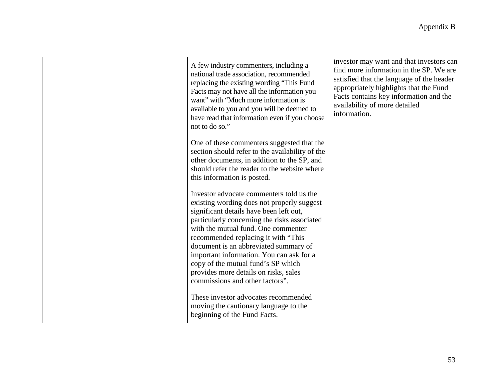|  | A few industry commenters, including a<br>national trade association, recommended<br>replacing the existing wording "This Fund<br>Facts may not have all the information you<br>want" with "Much more information is<br>available to you and you will be deemed to<br>have read that information even if you choose<br>not to do so."                                                                                                                                  | investor may want and that investors can<br>find more information in the SP. We are<br>satisfied that the language of the header<br>appropriately highlights that the Fund<br>Facts contains key information and the<br>availability of more detailed<br>information. |
|--|------------------------------------------------------------------------------------------------------------------------------------------------------------------------------------------------------------------------------------------------------------------------------------------------------------------------------------------------------------------------------------------------------------------------------------------------------------------------|-----------------------------------------------------------------------------------------------------------------------------------------------------------------------------------------------------------------------------------------------------------------------|
|  | One of these commenters suggested that the<br>section should refer to the availability of the<br>other documents, in addition to the SP, and<br>should refer the reader to the website where<br>this information is posted.                                                                                                                                                                                                                                            |                                                                                                                                                                                                                                                                       |
|  | Investor advocate commenters told us the<br>existing wording does not properly suggest<br>significant details have been left out,<br>particularly concerning the risks associated<br>with the mutual fund. One commenter<br>recommended replacing it with "This<br>document is an abbreviated summary of<br>important information. You can ask for a<br>copy of the mutual fund's SP which<br>provides more details on risks, sales<br>commissions and other factors". |                                                                                                                                                                                                                                                                       |
|  | These investor advocates recommended<br>moving the cautionary language to the<br>beginning of the Fund Facts.                                                                                                                                                                                                                                                                                                                                                          |                                                                                                                                                                                                                                                                       |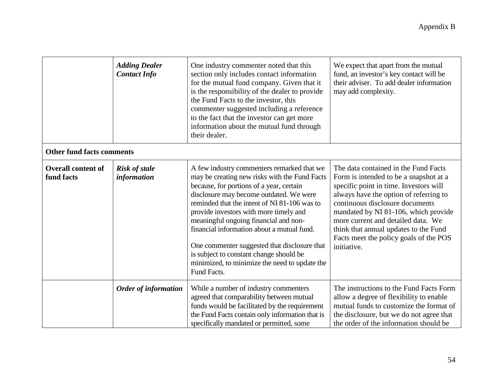|                                         | <b>Adding Dealer</b><br><b>Contact Info</b> | One industry commenter noted that this<br>section only includes contact information<br>for the mutual fund company. Given that it<br>is the responsibility of the dealer to provide<br>the Fund Facts to the investor, this<br>commenter suggested including a reference<br>to the fact that the investor can get more<br>information about the mutual fund through<br>their dealer.                                                                                                                                           | We expect that apart from the mutual<br>fund, an investor's key contact will be<br>their adviser. To add dealer information<br>may add complexity.                                                                                                                                                                                                                                    |
|-----------------------------------------|---------------------------------------------|--------------------------------------------------------------------------------------------------------------------------------------------------------------------------------------------------------------------------------------------------------------------------------------------------------------------------------------------------------------------------------------------------------------------------------------------------------------------------------------------------------------------------------|---------------------------------------------------------------------------------------------------------------------------------------------------------------------------------------------------------------------------------------------------------------------------------------------------------------------------------------------------------------------------------------|
| <b>Other fund facts comments</b>        |                                             |                                                                                                                                                                                                                                                                                                                                                                                                                                                                                                                                |                                                                                                                                                                                                                                                                                                                                                                                       |
| <b>Overall content of</b><br>fund facts | <b>Risk of stale</b><br>information         | A few industry commenters remarked that we<br>may be creating new risks with the Fund Facts<br>because, for portions of a year, certain<br>disclosure may become outdated. We were<br>reminded that the intent of NI 81-106 was to<br>provide investors with more timely and<br>meaningful ongoing financial and non-<br>financial information about a mutual fund.<br>One commenter suggested that disclosure that<br>is subject to constant change should be<br>minimized, to minimize the need to update the<br>Fund Facts. | The data contained in the Fund Facts<br>Form is intended to be a snapshot at a<br>specific point in time. Investors will<br>always have the option of referring to<br>continuous disclosure documents<br>mandated by NI 81-106, which provide<br>more current and detailed data. We<br>think that annual updates to the Fund<br>Facts meet the policy goals of the POS<br>initiative. |
|                                         | <b>Order of information</b>                 | While a number of industry commenters<br>agreed that comparability between mutual<br>funds would be facilitated by the requirement<br>the Fund Facts contain only information that is<br>specifically mandated or permitted, some                                                                                                                                                                                                                                                                                              | The instructions to the Fund Facts Form<br>allow a degree of flexibility to enable<br>mutual funds to customize the format of<br>the disclosure, but we do not agree that<br>the order of the information should be                                                                                                                                                                   |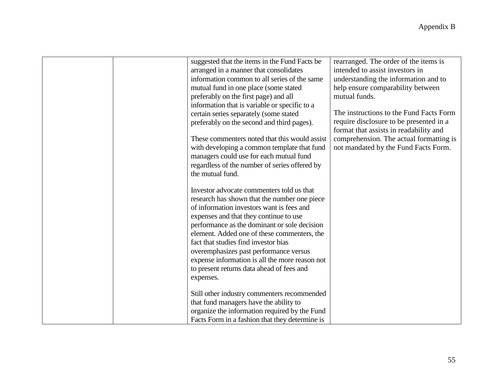| suggested that the items in the Fund Facts be  | rearranged. The order of the items is   |
|------------------------------------------------|-----------------------------------------|
| arranged in a manner that consolidates         | intended to assist investors in         |
| information common to all series of the same   | understanding the information and to    |
| mutual fund in one place (some stated          | help ensure comparability between       |
| preferably on the first page) and all          | mutual funds.                           |
| information that is variable or specific to a  |                                         |
| certain series separately (some stated         | The instructions to the Fund Facts Form |
| preferably on the second and third pages).     | require disclosure to be presented in a |
|                                                | format that assists in readability and  |
| These commenters noted that this would assist  | comprehension. The actual formatting is |
| with developing a common template that fund    | not mandated by the Fund Facts Form.    |
| managers could use for each mutual fund        |                                         |
| regardless of the number of series offered by  |                                         |
| the mutual fund.                               |                                         |
|                                                |                                         |
| Investor advocate commenters told us that      |                                         |
| research has shown that the number one piece   |                                         |
| of information investors want is fees and      |                                         |
| expenses and that they continue to use         |                                         |
| performance as the dominant or sole decision   |                                         |
| element. Added one of these commenters, the    |                                         |
| fact that studies find investor bias           |                                         |
| overemphasizes past performance versus         |                                         |
| expense information is all the more reason not |                                         |
| to present returns data ahead of fees and      |                                         |
| expenses.                                      |                                         |
|                                                |                                         |
| Still other industry commenters recommended    |                                         |
| that fund managers have the ability to         |                                         |
| organize the information required by the Fund  |                                         |
|                                                |                                         |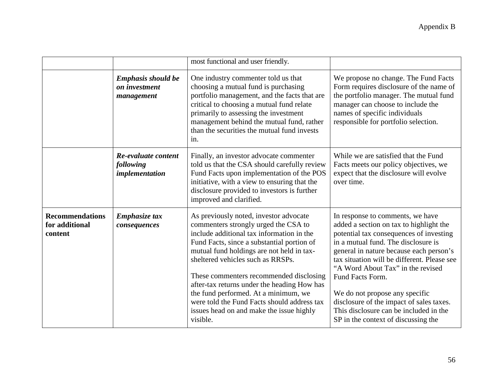|                                                     |                                                          | most functional and user friendly.                                                                                                                                                                                                                                                                                                                                                                                                                                                                   |                                                                                                                                                                                                                                                                                                                                                                                                                                                                                 |
|-----------------------------------------------------|----------------------------------------------------------|------------------------------------------------------------------------------------------------------------------------------------------------------------------------------------------------------------------------------------------------------------------------------------------------------------------------------------------------------------------------------------------------------------------------------------------------------------------------------------------------------|---------------------------------------------------------------------------------------------------------------------------------------------------------------------------------------------------------------------------------------------------------------------------------------------------------------------------------------------------------------------------------------------------------------------------------------------------------------------------------|
|                                                     | <b>Emphasis should be</b><br>on investment<br>management | One industry commenter told us that<br>choosing a mutual fund is purchasing<br>portfolio management, and the facts that are<br>critical to choosing a mutual fund relate<br>primarily to assessing the investment<br>management behind the mutual fund, rather<br>than the securities the mutual fund invests<br>in.                                                                                                                                                                                 | We propose no change. The Fund Facts<br>Form requires disclosure of the name of<br>the portfolio manager. The mutual fund<br>manager can choose to include the<br>names of specific individuals<br>responsible for portfolio selection.                                                                                                                                                                                                                                         |
|                                                     | Re-evaluate content<br>following<br>implementation       | Finally, an investor advocate commenter<br>told us that the CSA should carefully review<br>Fund Facts upon implementation of the POS<br>initiative, with a view to ensuring that the<br>disclosure provided to investors is further<br>improved and clarified.                                                                                                                                                                                                                                       | While we are satisfied that the Fund<br>Facts meets our policy objectives, we<br>expect that the disclosure will evolve<br>over time.                                                                                                                                                                                                                                                                                                                                           |
| <b>Recommendations</b><br>for additional<br>content | Emphasize tax<br>consequences                            | As previously noted, investor advocate<br>commenters strongly urged the CSA to<br>include additional tax information in the<br>Fund Facts, since a substantial portion of<br>mutual fund holdings are not held in tax-<br>sheltered vehicles such as RRSPs.<br>These commenters recommended disclosing<br>after-tax returns under the heading How has<br>the fund performed. At a minimum, we<br>were told the Fund Facts should address tax<br>issues head on and make the issue highly<br>visible. | In response to comments, we have<br>added a section on tax to highlight the<br>potential tax consequences of investing<br>in a mutual fund. The disclosure is<br>general in nature because each person's<br>tax situation will be different. Please see<br>"A Word About Tax" in the revised<br>Fund Facts Form.<br>We do not propose any specific<br>disclosure of the impact of sales taxes.<br>This disclosure can be included in the<br>SP in the context of discussing the |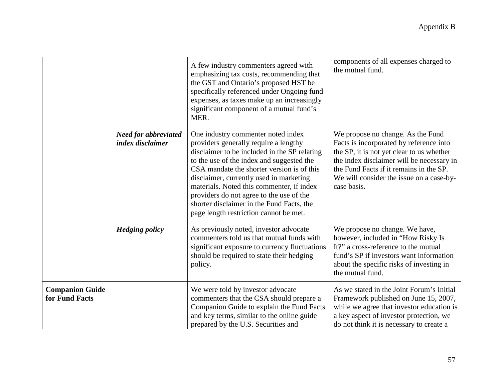|                                          |                                                        | A few industry commenters agreed with<br>emphasizing tax costs, recommending that<br>the GST and Ontario's proposed HST be<br>specifically referenced under Ongoing fund<br>expenses, as taxes make up an increasingly<br>significant component of a mutual fund's<br>MER.                                                                                                                                                                        | components of all expenses charged to<br>the mutual fund.                                                                                                                                                                                                                    |
|------------------------------------------|--------------------------------------------------------|---------------------------------------------------------------------------------------------------------------------------------------------------------------------------------------------------------------------------------------------------------------------------------------------------------------------------------------------------------------------------------------------------------------------------------------------------|------------------------------------------------------------------------------------------------------------------------------------------------------------------------------------------------------------------------------------------------------------------------------|
|                                          | <b>Need for abbreviated</b><br><i>index disclaimer</i> | One industry commenter noted index<br>providers generally require a lengthy<br>disclaimer to be included in the SP relating<br>to the use of the index and suggested the<br>CSA mandate the shorter version is of this<br>disclaimer, currently used in marketing<br>materials. Noted this commenter, if index<br>providers do not agree to the use of the<br>shorter disclaimer in the Fund Facts, the<br>page length restriction cannot be met. | We propose no change. As the Fund<br>Facts is incorporated by reference into<br>the SP, it is not yet clear to us whether<br>the index disclaimer will be necessary in<br>the Fund Facts if it remains in the SP.<br>We will consider the issue on a case-by-<br>case basis. |
|                                          | <b>Hedging policy</b>                                  | As previously noted, investor advocate<br>commenters told us that mutual funds with<br>significant exposure to currency fluctuations<br>should be required to state their hedging<br>policy.                                                                                                                                                                                                                                                      | We propose no change. We have,<br>however, included in "How Risky Is<br>It?" a cross-reference to the mutual<br>fund's SP if investors want information<br>about the specific risks of investing in<br>the mutual fund.                                                      |
| <b>Companion Guide</b><br>for Fund Facts |                                                        | We were told by investor advocate<br>commenters that the CSA should prepare a<br>Companion Guide to explain the Fund Facts<br>and key terms, similar to the online guide<br>prepared by the U.S. Securities and                                                                                                                                                                                                                                   | As we stated in the Joint Forum's Initial<br>Framework published on June 15, 2007,<br>while we agree that investor education is<br>a key aspect of investor protection, we<br>do not think it is necessary to create a                                                       |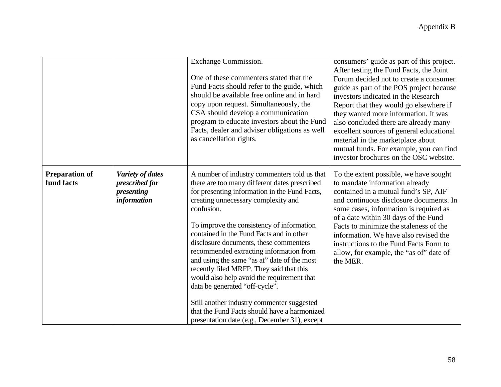|                                     |                                                                               | Exchange Commission.<br>One of these commenters stated that the<br>Fund Facts should refer to the guide, which<br>should be available free online and in hard<br>copy upon request. Simultaneously, the<br>CSA should develop a communication<br>program to educate investors about the Fund<br>Facts, dealer and adviser obligations as well<br>as cancellation rights.                                                                                                                                                                                                                                                                                                                                    | consumers' guide as part of this project.<br>After testing the Fund Facts, the Joint<br>Forum decided not to create a consumer<br>guide as part of the POS project because<br>investors indicated in the Research<br>Report that they would go elsewhere if<br>they wanted more information. It was<br>also concluded there are already many<br>excellent sources of general educational<br>material in the marketplace about<br>mutual funds. For example, you can find<br>investor brochures on the OSC website. |
|-------------------------------------|-------------------------------------------------------------------------------|-------------------------------------------------------------------------------------------------------------------------------------------------------------------------------------------------------------------------------------------------------------------------------------------------------------------------------------------------------------------------------------------------------------------------------------------------------------------------------------------------------------------------------------------------------------------------------------------------------------------------------------------------------------------------------------------------------------|--------------------------------------------------------------------------------------------------------------------------------------------------------------------------------------------------------------------------------------------------------------------------------------------------------------------------------------------------------------------------------------------------------------------------------------------------------------------------------------------------------------------|
| <b>Preparation of</b><br>fund facts | <b>Variety of dates</b><br>prescribed for<br>presenting<br><i>information</i> | A number of industry commenters told us that<br>there are too many different dates prescribed<br>for presenting information in the Fund Facts,<br>creating unnecessary complexity and<br>confusion.<br>To improve the consistency of information<br>contained in the Fund Facts and in other<br>disclosure documents, these commenters<br>recommended extracting information from<br>and using the same "as at" date of the most<br>recently filed MRFP. They said that this<br>would also help avoid the requirement that<br>data be generated "off-cycle".<br>Still another industry commenter suggested<br>that the Fund Facts should have a harmonized<br>presentation date (e.g., December 31), except | To the extent possible, we have sought<br>to mandate information already<br>contained in a mutual fund's SP, AIF<br>and continuous disclosure documents. In<br>some cases, information is required as<br>of a date within 30 days of the Fund<br>Facts to minimize the staleness of the<br>information. We have also revised the<br>instructions to the Fund Facts Form to<br>allow, for example, the "as of" date of<br>the MER.                                                                                  |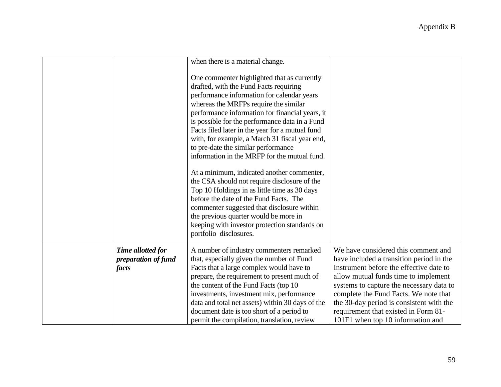|       |                                          | when there is a material change.<br>One commenter highlighted that as currently<br>drafted, with the Fund Facts requiring<br>performance information for calendar years<br>whereas the MRFPs require the similar<br>performance information for financial years, it<br>is possible for the performance data in a Fund<br>Facts filed later in the year for a mutual fund<br>with, for example, a March 31 fiscal year end,<br>to pre-date the similar performance<br>information in the MRFP for the mutual fund.<br>At a minimum, indicated another commenter,<br>the CSA should not require disclosure of the<br>Top 10 Holdings in as little time as 30 days<br>before the date of the Fund Facts. The<br>commenter suggested that disclosure within<br>the previous quarter would be more in |                                                                                                                                                                                                                                                                                                                                                                                  |
|-------|------------------------------------------|--------------------------------------------------------------------------------------------------------------------------------------------------------------------------------------------------------------------------------------------------------------------------------------------------------------------------------------------------------------------------------------------------------------------------------------------------------------------------------------------------------------------------------------------------------------------------------------------------------------------------------------------------------------------------------------------------------------------------------------------------------------------------------------------------|----------------------------------------------------------------------------------------------------------------------------------------------------------------------------------------------------------------------------------------------------------------------------------------------------------------------------------------------------------------------------------|
|       |                                          | keeping with investor protection standards on<br>portfolio disclosures.                                                                                                                                                                                                                                                                                                                                                                                                                                                                                                                                                                                                                                                                                                                          |                                                                                                                                                                                                                                                                                                                                                                                  |
| facts | Time allotted for<br>preparation of fund | A number of industry commenters remarked<br>that, especially given the number of Fund<br>Facts that a large complex would have to<br>prepare, the requirement to present much of<br>the content of the Fund Facts (top 10<br>investments, investment mix, performance<br>data and total net assets) within 30 days of the<br>document date is too short of a period to<br>permit the compilation, translation, review                                                                                                                                                                                                                                                                                                                                                                            | We have considered this comment and<br>have included a transition period in the<br>Instrument before the effective date to<br>allow mutual funds time to implement<br>systems to capture the necessary data to<br>complete the Fund Facts. We note that<br>the 30-day period is consistent with the<br>requirement that existed in Form 81-<br>101F1 when top 10 information and |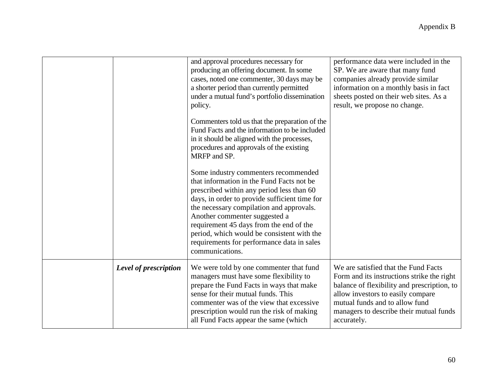|                       | and approval procedures necessary for<br>producing an offering document. In some<br>cases, noted one commenter, 30 days may be<br>a shorter period than currently permitted<br>under a mutual fund's portfolio dissemination<br>policy.                                                                                                                                                                                | performance data were included in the<br>SP. We are aware that many fund<br>companies already provide similar<br>information on a monthly basis in fact<br>sheets posted on their web sites. As a<br>result, we propose no change.                                 |  |
|-----------------------|------------------------------------------------------------------------------------------------------------------------------------------------------------------------------------------------------------------------------------------------------------------------------------------------------------------------------------------------------------------------------------------------------------------------|--------------------------------------------------------------------------------------------------------------------------------------------------------------------------------------------------------------------------------------------------------------------|--|
|                       | Commenters told us that the preparation of the<br>Fund Facts and the information to be included<br>in it should be aligned with the processes,<br>procedures and approvals of the existing<br>MRFP and SP.                                                                                                                                                                                                             |                                                                                                                                                                                                                                                                    |  |
|                       | Some industry commenters recommended<br>that information in the Fund Facts not be<br>prescribed within any period less than 60<br>days, in order to provide sufficient time for<br>the necessary compilation and approvals.<br>Another commenter suggested a<br>requirement 45 days from the end of the<br>period, which would be consistent with the<br>requirements for performance data in sales<br>communications. |                                                                                                                                                                                                                                                                    |  |
| Level of prescription | We were told by one commenter that fund<br>managers must have some flexibility to<br>prepare the Fund Facts in ways that make<br>sense for their mutual funds. This<br>commenter was of the view that excessive<br>prescription would run the risk of making<br>all Fund Facts appear the same (which                                                                                                                  | We are satisfied that the Fund Facts<br>Form and its instructions strike the right<br>balance of flexibility and prescription, to<br>allow investors to easily compare<br>mutual funds and to allow fund<br>managers to describe their mutual funds<br>accurately. |  |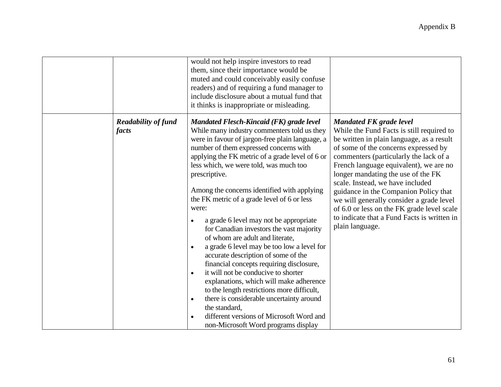|       |                                                               | would not help inspire investors to read<br>them, since their importance would be<br>muted and could conceivably easily confuse<br>readers) and of requiring a fund manager to<br>include disclosure about a mutual fund that<br>it thinks is inappropriate or misleading.                                                                                                                                                                                                                                                                                                                                                                                                                                                                                                                                                                                                                                                                 |                                                                                                                                                                                                                                                                                                                                                                                                                                                                                                                                     |
|-------|---------------------------------------------------------------|--------------------------------------------------------------------------------------------------------------------------------------------------------------------------------------------------------------------------------------------------------------------------------------------------------------------------------------------------------------------------------------------------------------------------------------------------------------------------------------------------------------------------------------------------------------------------------------------------------------------------------------------------------------------------------------------------------------------------------------------------------------------------------------------------------------------------------------------------------------------------------------------------------------------------------------------|-------------------------------------------------------------------------------------------------------------------------------------------------------------------------------------------------------------------------------------------------------------------------------------------------------------------------------------------------------------------------------------------------------------------------------------------------------------------------------------------------------------------------------------|
| facts | <b>Readability of fund</b><br>were:<br>$\bullet$<br>$\bullet$ | Mandated Flesch-Kincaid (FK) grade level<br>While many industry commenters told us they<br>were in favour of jargon-free plain language, a<br>number of them expressed concerns with<br>applying the FK metric of a grade level of 6 or<br>less which, we were told, was much too<br>prescriptive.<br>Among the concerns identified with applying<br>the FK metric of a grade level of 6 or less<br>a grade 6 level may not be appropriate<br>for Canadian investors the vast majority<br>of whom are adult and literate,<br>a grade 6 level may be too low a level for<br>accurate description of some of the<br>financial concepts requiring disclosure,<br>it will not be conducive to shorter<br>explanations, which will make adherence<br>to the length restrictions more difficult,<br>there is considerable uncertainty around<br>the standard,<br>different versions of Microsoft Word and<br>non-Microsoft Word programs display | <b>Mandated FK grade level</b><br>While the Fund Facts is still required to<br>be written in plain language, as a result<br>of some of the concerns expressed by<br>commenters (particularly the lack of a<br>French language equivalent), we are no<br>longer mandating the use of the FK<br>scale. Instead, we have included<br>guidance in the Companion Policy that<br>we will generally consider a grade level<br>of 6.0 or less on the FK grade level scale<br>to indicate that a Fund Facts is written in<br>plain language. |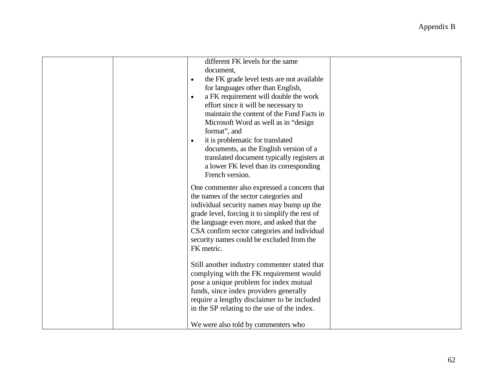|                                     | different FK levels for the same<br>document,<br>the FK grade level tests are not available                                                                                                                                                                                                                                                                                                                       |  |
|-------------------------------------|-------------------------------------------------------------------------------------------------------------------------------------------------------------------------------------------------------------------------------------------------------------------------------------------------------------------------------------------------------------------------------------------------------------------|--|
| $\bullet$<br>$\bullet$<br>$\bullet$ | for languages other than English,<br>a FK requirement will double the work<br>effort since it will be necessary to<br>maintain the content of the Fund Facts in<br>Microsoft Word as well as in "design<br>format", and<br>it is problematic for translated<br>documents, as the English version of a<br>translated document typically registers at<br>a lower FK level than its corresponding<br>French version. |  |
|                                     | One commenter also expressed a concern that<br>the names of the sector categories and<br>individual security names may bump up the<br>grade level, forcing it to simplify the rest of<br>the language even more, and asked that the<br>CSA confirm sector categories and individual<br>security names could be excluded from the<br>FK metric.                                                                    |  |
|                                     | Still another industry commenter stated that<br>complying with the FK requirement would<br>pose a unique problem for index mutual<br>funds, since index providers generally<br>require a lengthy disclaimer to be included<br>in the SP relating to the use of the index.<br>We were also told by commenters who                                                                                                  |  |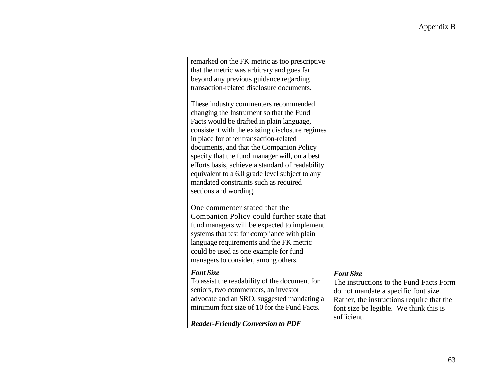| remarked on the FK metric as too prescriptive<br>that the metric was arbitrary and goes far<br>beyond any previous guidance regarding<br>transaction-related disclosure documents.<br>These industry commenters recommended<br>changing the Instrument so that the Fund<br>Facts would be drafted in plain language,<br>consistent with the existing disclosure regimes<br>in place for other transaction-related<br>documents, and that the Companion Policy<br>specify that the fund manager will, on a best<br>efforts basis, achieve a standard of readability<br>equivalent to a 6.0 grade level subject to any |                                                                                                                                                                                                           |
|----------------------------------------------------------------------------------------------------------------------------------------------------------------------------------------------------------------------------------------------------------------------------------------------------------------------------------------------------------------------------------------------------------------------------------------------------------------------------------------------------------------------------------------------------------------------------------------------------------------------|-----------------------------------------------------------------------------------------------------------------------------------------------------------------------------------------------------------|
| mandated constraints such as required<br>sections and wording.<br>One commenter stated that the                                                                                                                                                                                                                                                                                                                                                                                                                                                                                                                      |                                                                                                                                                                                                           |
| Companion Policy could further state that<br>fund managers will be expected to implement<br>systems that test for compliance with plain<br>language requirements and the FK metric<br>could be used as one example for fund<br>managers to consider, among others.                                                                                                                                                                                                                                                                                                                                                   |                                                                                                                                                                                                           |
| <b>Font Size</b><br>To assist the readability of the document for<br>seniors, two commenters, an investor<br>advocate and an SRO, suggested mandating a<br>minimum font size of 10 for the Fund Facts.                                                                                                                                                                                                                                                                                                                                                                                                               | <b>Font Size</b><br>The instructions to the Fund Facts Form<br>do not mandate a specific font size.<br>Rather, the instructions require that the<br>font size be legible. We think this is<br>sufficient. |
| <b>Reader-Friendly Conversion to PDF</b>                                                                                                                                                                                                                                                                                                                                                                                                                                                                                                                                                                             |                                                                                                                                                                                                           |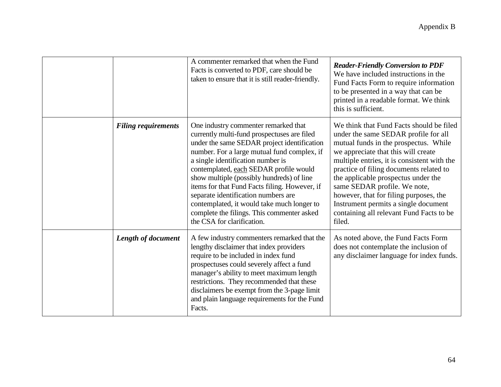|                            | A commenter remarked that when the Fund<br>Facts is converted to PDF, care should be<br>taken to ensure that it is still reader-friendly.                                                                                                                                                                                                                                                                                                                                                                                       | <b>Reader-Friendly Conversion to PDF</b><br>We have included instructions in the<br>Fund Facts Form to require information<br>to be presented in a way that can be<br>printed in a readable format. We think<br>this is sufficient.                                                                                                                                                                                                                                       |
|----------------------------|---------------------------------------------------------------------------------------------------------------------------------------------------------------------------------------------------------------------------------------------------------------------------------------------------------------------------------------------------------------------------------------------------------------------------------------------------------------------------------------------------------------------------------|---------------------------------------------------------------------------------------------------------------------------------------------------------------------------------------------------------------------------------------------------------------------------------------------------------------------------------------------------------------------------------------------------------------------------------------------------------------------------|
| <b>Filing requirements</b> | One industry commenter remarked that<br>currently multi-fund prospectuses are filed<br>under the same SEDAR project identification<br>number. For a large mutual fund complex, if<br>a single identification number is<br>contemplated, each SEDAR profile would<br>show multiple (possibly hundreds) of line<br>items for that Fund Facts filing. However, if<br>separate identification numbers are<br>contemplated, it would take much longer to<br>complete the filings. This commenter asked<br>the CSA for clarification. | We think that Fund Facts should be filed<br>under the same SEDAR profile for all<br>mutual funds in the prospectus. While<br>we appreciate that this will create<br>multiple entries, it is consistent with the<br>practice of filing documents related to<br>the applicable prospectus under the<br>same SEDAR profile. We note,<br>however, that for filing purposes, the<br>Instrument permits a single document<br>containing all relevant Fund Facts to be<br>filed. |
| <b>Length of document</b>  | A few industry commenters remarked that the<br>lengthy disclaimer that index providers<br>require to be included in index fund<br>prospectuses could severely affect a fund<br>manager's ability to meet maximum length<br>restrictions. They recommended that these<br>disclaimers be exempt from the 3-page limit<br>and plain language requirements for the Fund<br>Facts.                                                                                                                                                   | As noted above, the Fund Facts Form<br>does not contemplate the inclusion of<br>any disclaimer language for index funds.                                                                                                                                                                                                                                                                                                                                                  |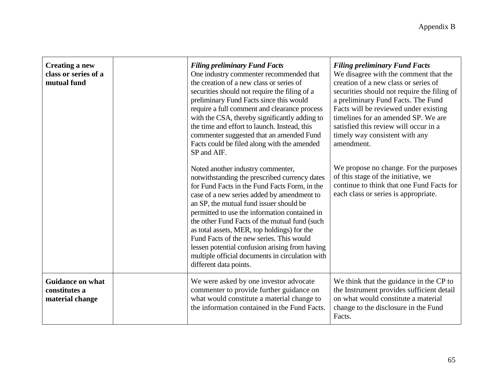| <b>Creating a new</b><br>class or series of a<br>mutual fund | <b>Filing preliminary Fund Facts</b><br>One industry commenter recommended that<br>the creation of a new class or series of<br>securities should not require the filing of a<br>preliminary Fund Facts since this would<br>require a full comment and clearance process<br>with the CSA, thereby significantly adding to<br>the time and effort to launch. Instead, this<br>commenter suggested that an amended Fund<br>Facts could be filed along with the amended<br>SP and AIF.                                                                       | <b>Filing preliminary Fund Facts</b><br>We disagree with the comment that the<br>creation of a new class or series of<br>securities should not require the filing of<br>a preliminary Fund Facts. The Fund<br>Facts will be reviewed under existing<br>timelines for an amended SP. We are<br>satisfied this review will occur in a<br>timely way consistent with any<br>amendment. |
|--------------------------------------------------------------|----------------------------------------------------------------------------------------------------------------------------------------------------------------------------------------------------------------------------------------------------------------------------------------------------------------------------------------------------------------------------------------------------------------------------------------------------------------------------------------------------------------------------------------------------------|-------------------------------------------------------------------------------------------------------------------------------------------------------------------------------------------------------------------------------------------------------------------------------------------------------------------------------------------------------------------------------------|
|                                                              | Noted another industry commenter,<br>notwithstanding the prescribed currency dates<br>for Fund Facts in the Fund Facts Form, in the<br>case of a new series added by amendment to<br>an SP, the mutual fund issuer should be<br>permitted to use the information contained in<br>the other Fund Facts of the mutual fund (such<br>as total assets, MER, top holdings) for the<br>Fund Facts of the new series. This would<br>lessen potential confusion arising from having<br>multiple official documents in circulation with<br>different data points. | We propose no change. For the purposes<br>of this stage of the initiative, we<br>continue to think that one Fund Facts for<br>each class or series is appropriate.                                                                                                                                                                                                                  |
| <b>Guidance on what</b><br>constitutes a<br>material change  | We were asked by one investor advocate<br>commenter to provide further guidance on<br>what would constitute a material change to<br>the information contained in the Fund Facts.                                                                                                                                                                                                                                                                                                                                                                         | We think that the guidance in the CP to<br>the Instrument provides sufficient detail<br>on what would constitute a material<br>change to the disclosure in the Fund<br>Facts.                                                                                                                                                                                                       |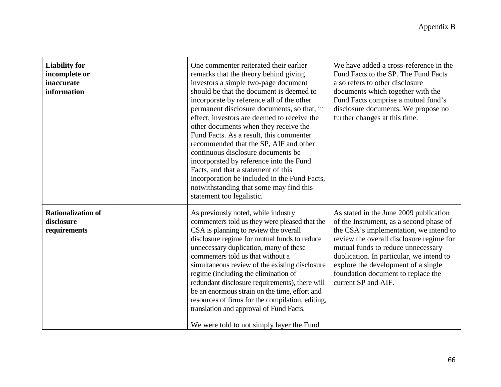| <b>Liability for</b><br>incomplete or<br>inaccurate<br>information | One commenter reiterated their earlier<br>remarks that the theory behind giving<br>investors a simple two-page document<br>should be that the document is deemed to<br>incorporate by reference all of the other<br>permanent disclosure documents, so that, in<br>effect, investors are deemed to receive the<br>other documents when they receive the<br>Fund Facts. As a result, this commenter<br>recommended that the SP, AIF and other<br>continuous disclosure documents be<br>incorporated by reference into the Fund<br>Facts, and that a statement of this<br>incorporation be included in the Fund Facts,<br>notwithstanding that some may find this<br>statement too legalistic. | We have added a cross-reference in the<br>Fund Facts to the SP. The Fund Facts<br>also refers to other disclosure<br>documents which together with the<br>Fund Facts comprise a mutual fund's<br>disclosure documents. We propose no<br>further changes at this time.                                                                                         |
|--------------------------------------------------------------------|----------------------------------------------------------------------------------------------------------------------------------------------------------------------------------------------------------------------------------------------------------------------------------------------------------------------------------------------------------------------------------------------------------------------------------------------------------------------------------------------------------------------------------------------------------------------------------------------------------------------------------------------------------------------------------------------|---------------------------------------------------------------------------------------------------------------------------------------------------------------------------------------------------------------------------------------------------------------------------------------------------------------------------------------------------------------|
| <b>Rationalization of</b><br>disclosure<br>requirements            | As previously noted, while industry<br>commenters told us they were pleased that the<br>CSA is planning to review the overall<br>disclosure regime for mutual funds to reduce<br>unnecessary duplication, many of these<br>commenters told us that without a<br>simultaneous review of the existing disclosure<br>regime (including the elimination of<br>redundant disclosure requirements), there will<br>be an enormous strain on the time, effort and<br>resources of firms for the compilation, editing,<br>translation and approval of Fund Facts.<br>We were told to not simply layer the Fund                                                                                        | As stated in the June 2009 publication<br>of the Instrument, as a second phase of<br>the CSA's implementation, we intend to<br>review the overall disclosure regime for<br>mutual funds to reduce unnecessary<br>duplication. In particular, we intend to<br>explore the development of a single<br>foundation document to replace the<br>current SP and AIF. |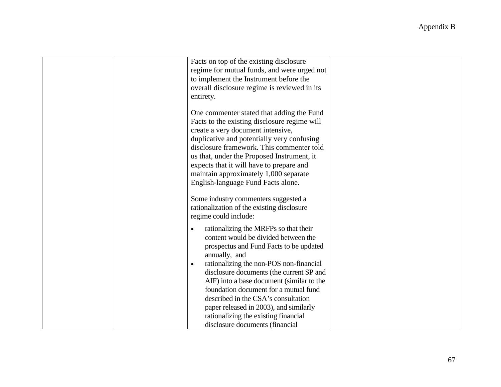| Facts on top of the existing disclosure<br>regime for mutual funds, and were urged not<br>to implement the Instrument before the<br>overall disclosure regime is reviewed in its<br>entirety.                                                                                                                                                                                                                                                                             |                                 |
|---------------------------------------------------------------------------------------------------------------------------------------------------------------------------------------------------------------------------------------------------------------------------------------------------------------------------------------------------------------------------------------------------------------------------------------------------------------------------|---------------------------------|
| One commenter stated that adding the Fund<br>Facts to the existing disclosure regime will<br>create a very document intensive,<br>duplicative and potentially very confusing<br>disclosure framework. This commenter told<br>us that, under the Proposed Instrument, it<br>expects that it will have to prepare and<br>maintain approximately 1,000 separate<br>English-language Fund Facts alone.                                                                        |                                 |
| Some industry commenters suggested a<br>rationalization of the existing disclosure<br>regime could include:                                                                                                                                                                                                                                                                                                                                                               |                                 |
| rationalizing the MRFPs so that their<br>$\bullet$<br>content would be divided between the<br>prospectus and Fund Facts to be updated<br>annually, and<br>rationalizing the non-POS non-financial<br>$\bullet$<br>disclosure documents (the current SP and<br>AIF) into a base document (similar to the<br>foundation document for a mutual fund<br>described in the CSA's consultation<br>paper released in 2003), and similarly<br>rationalizing the existing financial |                                 |
|                                                                                                                                                                                                                                                                                                                                                                                                                                                                           | disclosure documents (financial |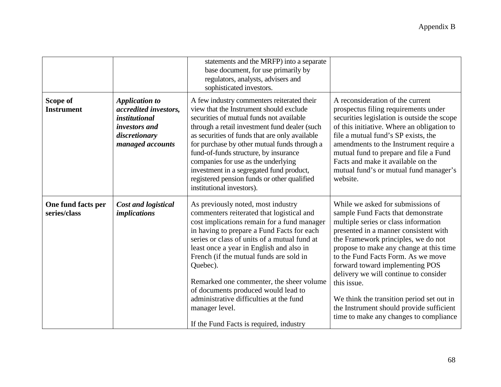|                                    |                                                                                                                                     | statements and the MRFP) into a separate<br>base document, for use primarily by<br>regulators, analysts, advisers and<br>sophisticated investors.                                                                                                                                                                                                                                                                                                                                                                          |                                                                                                                                                                                                                                                                                                                                                                                                                                                                                                                |
|------------------------------------|-------------------------------------------------------------------------------------------------------------------------------------|----------------------------------------------------------------------------------------------------------------------------------------------------------------------------------------------------------------------------------------------------------------------------------------------------------------------------------------------------------------------------------------------------------------------------------------------------------------------------------------------------------------------------|----------------------------------------------------------------------------------------------------------------------------------------------------------------------------------------------------------------------------------------------------------------------------------------------------------------------------------------------------------------------------------------------------------------------------------------------------------------------------------------------------------------|
| Scope of<br><b>Instrument</b>      | <b>Application to</b><br>accredited investors,<br><i>institutional</i><br><i>investors and</i><br>discretionary<br>managed accounts | A few industry commenters reiterated their<br>view that the Instrument should exclude<br>securities of mutual funds not available<br>through a retail investment fund dealer (such<br>as securities of funds that are only available<br>for purchase by other mutual funds through a<br>fund-of-funds structure, by insurance<br>companies for use as the underlying<br>investment in a segregated fund product,<br>registered pension funds or other qualified<br>institutional investors).                               | A reconsideration of the current<br>prospectus filing requirements under<br>securities legislation is outside the scope<br>of this initiative. Where an obligation to<br>file a mutual fund's SP exists, the<br>amendments to the Instrument require a<br>mutual fund to prepare and file a Fund<br>Facts and make it available on the<br>mutual fund's or mutual fund manager's<br>website.                                                                                                                   |
| One fund facts per<br>series/class | <b>Cost and logistical</b><br><i>implications</i>                                                                                   | As previously noted, most industry<br>commenters reiterated that logistical and<br>cost implications remain for a fund manager<br>in having to prepare a Fund Facts for each<br>series or class of units of a mutual fund at<br>least once a year in English and also in<br>French (if the mutual funds are sold in<br>Quebec).<br>Remarked one commenter, the sheer volume<br>of documents produced would lead to<br>administrative difficulties at the fund<br>manager level.<br>If the Fund Facts is required, industry | While we asked for submissions of<br>sample Fund Facts that demonstrate<br>multiple series or class information<br>presented in a manner consistent with<br>the Framework principles, we do not<br>propose to make any change at this time<br>to the Fund Facts Form. As we move<br>forward toward implementing POS<br>delivery we will continue to consider<br>this issue.<br>We think the transition period set out in<br>the Instrument should provide sufficient<br>time to make any changes to compliance |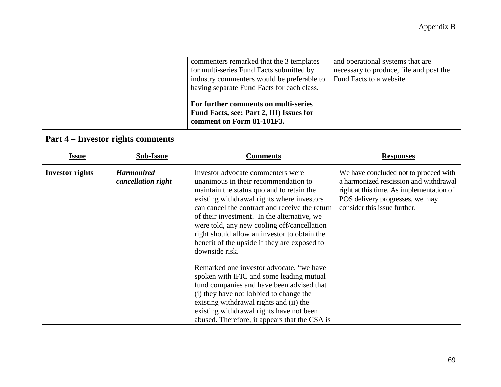|                        |                                          | commenters remarked that the 3 templates<br>for multi-series Fund Facts submitted by<br>industry commenters would be preferable to<br>having separate Fund Facts for each class.<br>For further comments on multi-series<br>Fund Facts, see: Part 2, III) Issues for<br>comment on Form 81-101F3.                                                                                                                                                                                                                                                                                                                                                                                                                                                              | and operational systems that are<br>necessary to produce, file and post the<br>Fund Facts to a website.                                                                                        |
|------------------------|------------------------------------------|----------------------------------------------------------------------------------------------------------------------------------------------------------------------------------------------------------------------------------------------------------------------------------------------------------------------------------------------------------------------------------------------------------------------------------------------------------------------------------------------------------------------------------------------------------------------------------------------------------------------------------------------------------------------------------------------------------------------------------------------------------------|------------------------------------------------------------------------------------------------------------------------------------------------------------------------------------------------|
|                        | <b>Part 4 – Investor rights comments</b> |                                                                                                                                                                                                                                                                                                                                                                                                                                                                                                                                                                                                                                                                                                                                                                |                                                                                                                                                                                                |
| <b>Issue</b>           | <b>Sub-Issue</b>                         | <b>Comments</b>                                                                                                                                                                                                                                                                                                                                                                                                                                                                                                                                                                                                                                                                                                                                                | <b>Responses</b>                                                                                                                                                                               |
| <b>Investor rights</b> | <b>Harmonized</b><br>cancellation right  | Investor advocate commenters were<br>unanimous in their recommendation to<br>maintain the status quo and to retain the<br>existing withdrawal rights where investors<br>can cancel the contract and receive the return<br>of their investment. In the alternative, we<br>were told, any new cooling off/cancellation<br>right should allow an investor to obtain the<br>benefit of the upside if they are exposed to<br>downside risk.<br>Remarked one investor advocate, "we have<br>spoken with IFIC and some leading mutual<br>fund companies and have been advised that<br>(i) they have not lobbied to change the<br>existing withdrawal rights and (ii) the<br>existing withdrawal rights have not been<br>abused. Therefore, it appears that the CSA is | We have concluded not to proceed with<br>a harmonized rescission and withdrawal<br>right at this time. As implementation of<br>POS delivery progresses, we may<br>consider this issue further. |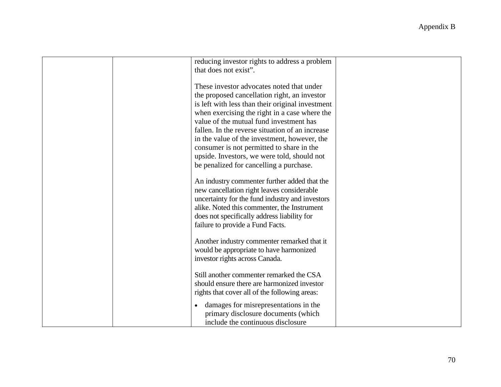| reducing investor rights to address a problem<br>that does not exist".                                                                                                                                                                                                                                                                                                                                                                                                              |  |
|-------------------------------------------------------------------------------------------------------------------------------------------------------------------------------------------------------------------------------------------------------------------------------------------------------------------------------------------------------------------------------------------------------------------------------------------------------------------------------------|--|
| These investor advocates noted that under<br>the proposed cancellation right, an investor<br>is left with less than their original investment<br>when exercising the right in a case where the<br>value of the mutual fund investment has<br>fallen. In the reverse situation of an increase<br>in the value of the investment, however, the<br>consumer is not permitted to share in the<br>upside. Investors, we were told, should not<br>be penalized for cancelling a purchase. |  |
| An industry commenter further added that the<br>new cancellation right leaves considerable<br>uncertainty for the fund industry and investors<br>alike. Noted this commenter, the Instrument<br>does not specifically address liability for<br>failure to provide a Fund Facts.                                                                                                                                                                                                     |  |
| Another industry commenter remarked that it<br>would be appropriate to have harmonized<br>investor rights across Canada.                                                                                                                                                                                                                                                                                                                                                            |  |
| Still another commenter remarked the CSA<br>should ensure there are harmonized investor<br>rights that cover all of the following areas:                                                                                                                                                                                                                                                                                                                                            |  |
| damages for misrepresentations in the<br>primary disclosure documents (which<br>include the continuous disclosure                                                                                                                                                                                                                                                                                                                                                                   |  |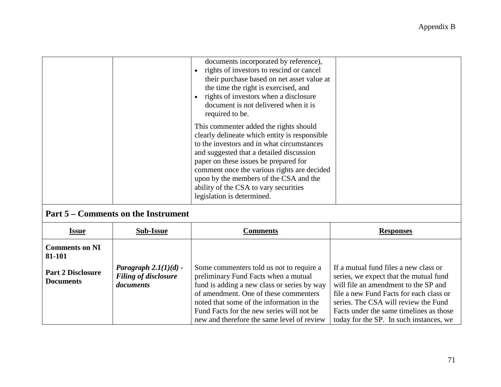| documents incorporated by reference),<br>rights of investors to rescind or cancel<br>their purchase based on net asset value at<br>the time the right is exercised, and<br>rights of investors when a disclosure<br>document is not delivered when it is<br>required to be.                                                                                                                |
|--------------------------------------------------------------------------------------------------------------------------------------------------------------------------------------------------------------------------------------------------------------------------------------------------------------------------------------------------------------------------------------------|
| This commenter added the rights should<br>clearly delineate which entity is responsible<br>to the investors and in what circumstances<br>and suggested that a detailed discussion<br>paper on these issues be prepared for<br>comment once the various rights are decided<br>upon by the members of the CSA and the<br>ability of the CSA to vary securities<br>legislation is determined. |

## **Part 5 – Comments on the Instrument**

| <b>Issue</b>                                 | <b>Sub-Issue</b>                                                    | <b>Comments</b>                                                                                                                                                                                                                                                                                                  | <b>Responses</b>                                                                                                                                                                                                                                                                                 |
|----------------------------------------------|---------------------------------------------------------------------|------------------------------------------------------------------------------------------------------------------------------------------------------------------------------------------------------------------------------------------------------------------------------------------------------------------|--------------------------------------------------------------------------------------------------------------------------------------------------------------------------------------------------------------------------------------------------------------------------------------------------|
| <b>Comments on NI</b><br>81-101              |                                                                     |                                                                                                                                                                                                                                                                                                                  |                                                                                                                                                                                                                                                                                                  |
| <b>Part 2 Disclosure</b><br><b>Documents</b> | Paragraph $2.1(1)(d)$ -<br><b>Filing of disclosure</b><br>documents | Some commenters told us not to require a<br>preliminary Fund Facts when a mutual<br>fund is adding a new class or series by way<br>of amendment. One of these commenters<br>noted that some of the information in the<br>Fund Facts for the new series will not be<br>new and therefore the same level of review | If a mutual fund files a new class or<br>series, we expect that the mutual fund<br>will file an amendment to the SP and<br>file a new Fund Facts for each class or<br>series. The CSA will review the Fund<br>Facts under the same timelines as those<br>today for the SP. In such instances, we |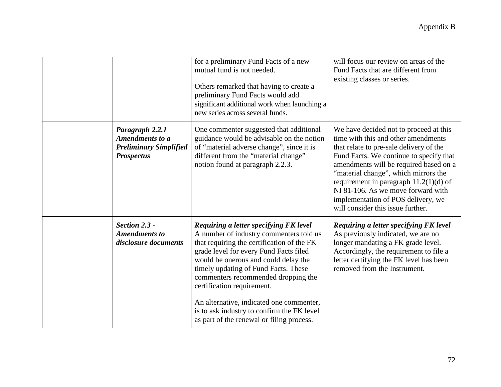|                                                                                          | for a preliminary Fund Facts of a new<br>mutual fund is not needed.<br>Others remarked that having to create a<br>preliminary Fund Facts would add<br>significant additional work when launching a<br>new series across several funds.                                                                                                                                                                                                                                | will focus our review on areas of the<br>Fund Facts that are different from<br>existing classes or series.                                                                                                                                                                                                                                                                                                         |
|------------------------------------------------------------------------------------------|-----------------------------------------------------------------------------------------------------------------------------------------------------------------------------------------------------------------------------------------------------------------------------------------------------------------------------------------------------------------------------------------------------------------------------------------------------------------------|--------------------------------------------------------------------------------------------------------------------------------------------------------------------------------------------------------------------------------------------------------------------------------------------------------------------------------------------------------------------------------------------------------------------|
| Paragraph 2.2.1<br>Amendments to a<br><b>Preliminary Simplified</b><br><b>Prospectus</b> | One commenter suggested that additional<br>guidance would be advisable on the notion<br>of "material adverse change", since it is<br>different from the "material change"<br>notion found at paragraph 2.2.3.                                                                                                                                                                                                                                                         | We have decided not to proceed at this<br>time with this and other amendments<br>that relate to pre-sale delivery of the<br>Fund Facts. We continue to specify that<br>amendments will be required based on a<br>"material change", which mirrors the<br>requirement in paragraph $11.2(1)(d)$ of<br>NI 81-106. As we move forward with<br>implementation of POS delivery, we<br>will consider this issue further. |
| Section 2.3 -<br><b>Amendments to</b><br>disclosure documents                            | Requiring a letter specifying FK level<br>A number of industry commenters told us<br>that requiring the certification of the FK<br>grade level for every Fund Facts filed<br>would be onerous and could delay the<br>timely updating of Fund Facts. These<br>commenters recommended dropping the<br>certification requirement.<br>An alternative, indicated one commenter,<br>is to ask industry to confirm the FK level<br>as part of the renewal or filing process. | Requiring a letter specifying FK level<br>As previously indicated, we are no<br>longer mandating a FK grade level.<br>Accordingly, the requirement to file a<br>letter certifying the FK level has been<br>removed from the Instrument.                                                                                                                                                                            |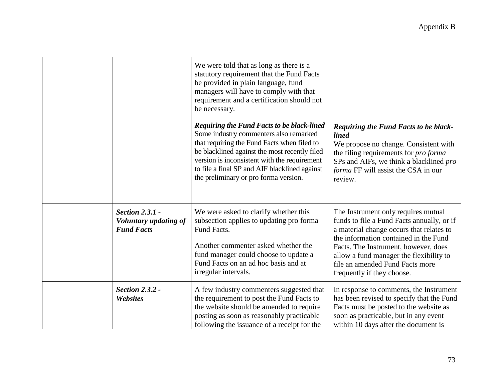|                                                                      | We were told that as long as there is a<br>statutory requirement that the Fund Facts<br>be provided in plain language, fund<br>managers will have to comply with that<br>requirement and a certification should not<br>be necessary.<br><b>Requiring the Fund Facts to be black-lined</b><br>Some industry commenters also remarked<br>that requiring the Fund Facts when filed to<br>be blacklined against the most recently filed<br>version is inconsistent with the requirement<br>to file a final SP and AIF blacklined against<br>the preliminary or pro forma version. | <b>Requiring the Fund Facts to be black-</b><br><i>lined</i><br>We propose no change. Consistent with<br>the filing requirements for <i>pro forma</i><br>SPs and AIFs, we think a blacklined pro<br>forma FF will assist the CSA in our<br>review.                                                                         |
|----------------------------------------------------------------------|-------------------------------------------------------------------------------------------------------------------------------------------------------------------------------------------------------------------------------------------------------------------------------------------------------------------------------------------------------------------------------------------------------------------------------------------------------------------------------------------------------------------------------------------------------------------------------|----------------------------------------------------------------------------------------------------------------------------------------------------------------------------------------------------------------------------------------------------------------------------------------------------------------------------|
| <b>Section 2.3.1 -</b><br>Voluntary updating of<br><b>Fund Facts</b> | We were asked to clarify whether this<br>subsection applies to updating pro forma<br>Fund Facts.<br>Another commenter asked whether the<br>fund manager could choose to update a<br>Fund Facts on an ad hoc basis and at<br>irregular intervals.                                                                                                                                                                                                                                                                                                                              | The Instrument only requires mutual<br>funds to file a Fund Facts annually, or if<br>a material change occurs that relates to<br>the information contained in the Fund<br>Facts. The Instrument, however, does<br>allow a fund manager the flexibility to<br>file an amended Fund Facts more<br>frequently if they choose. |
| <b>Section 2.3.2 -</b><br>Websites                                   | A few industry commenters suggested that<br>the requirement to post the Fund Facts to<br>the website should be amended to require<br>posting as soon as reasonably practicable<br>following the issuance of a receipt for the                                                                                                                                                                                                                                                                                                                                                 | In response to comments, the Instrument<br>has been revised to specify that the Fund<br>Facts must be posted to the website as<br>soon as practicable, but in any event<br>within 10 days after the document is                                                                                                            |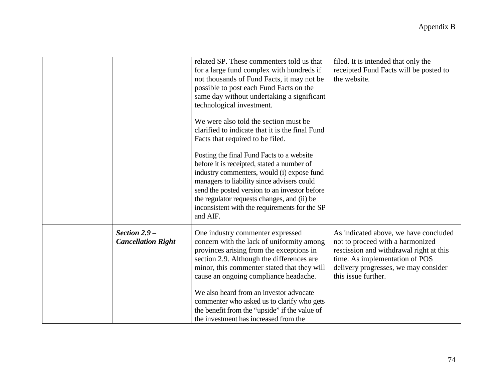|                                              | related SP. These commenters told us that<br>for a large fund complex with hundreds if<br>not thousands of Fund Facts, it may not be<br>possible to post each Fund Facts on the<br>same day without undertaking a significant<br>technological investment.<br>We were also told the section must be<br>clarified to indicate that it is the final Fund<br>Facts that required to be filed.<br>Posting the final Fund Facts to a website<br>before it is receipted, stated a number of<br>industry commenters, would (i) expose fund<br>managers to liability since advisers could<br>send the posted version to an investor before<br>the regulator requests changes, and (ii) be<br>inconsistent with the requirements for the SP<br>and AIF. | filed. It is intended that only the<br>receipted Fund Facts will be posted to<br>the website.                                                                                                                         |
|----------------------------------------------|------------------------------------------------------------------------------------------------------------------------------------------------------------------------------------------------------------------------------------------------------------------------------------------------------------------------------------------------------------------------------------------------------------------------------------------------------------------------------------------------------------------------------------------------------------------------------------------------------------------------------------------------------------------------------------------------------------------------------------------------|-----------------------------------------------------------------------------------------------------------------------------------------------------------------------------------------------------------------------|
| Section $2.9 -$<br><b>Cancellation Right</b> | One industry commenter expressed<br>concern with the lack of uniformity among<br>provinces arising from the exceptions in<br>section 2.9. Although the differences are<br>minor, this commenter stated that they will<br>cause an ongoing compliance headache.<br>We also heard from an investor advocate<br>commenter who asked us to clarify who gets<br>the benefit from the "upside" if the value of<br>the investment has increased from the                                                                                                                                                                                                                                                                                              | As indicated above, we have concluded<br>not to proceed with a harmonized<br>rescission and withdrawal right at this<br>time. As implementation of POS<br>delivery progresses, we may consider<br>this issue further. |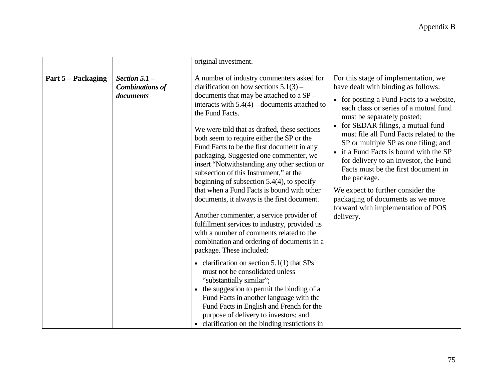|                    |                                                        | original investment.                                                                                                                                                                                                                                                                                                                                                                                                                                                                                                                                                                                                                                                                                                                                                                                                                                    |                                                                                                                                                                                                                                                                                                                                                                                                                                                                                                                                                                                                |
|--------------------|--------------------------------------------------------|---------------------------------------------------------------------------------------------------------------------------------------------------------------------------------------------------------------------------------------------------------------------------------------------------------------------------------------------------------------------------------------------------------------------------------------------------------------------------------------------------------------------------------------------------------------------------------------------------------------------------------------------------------------------------------------------------------------------------------------------------------------------------------------------------------------------------------------------------------|------------------------------------------------------------------------------------------------------------------------------------------------------------------------------------------------------------------------------------------------------------------------------------------------------------------------------------------------------------------------------------------------------------------------------------------------------------------------------------------------------------------------------------------------------------------------------------------------|
| Part 5 – Packaging | Section $5.1$ –<br><b>Combinations of</b><br>documents | A number of industry commenters asked for<br>clarification on how sections $5.1(3)$ –<br>documents that may be attached to a SP -<br>interacts with $5.4(4)$ – documents attached to<br>the Fund Facts.<br>We were told that as drafted, these sections<br>both seem to require either the SP or the<br>Fund Facts to be the first document in any<br>packaging. Suggested one commenter, we<br>insert "Notwithstanding any other section or<br>subsection of this Instrument," at the<br>beginning of subsection $5.4(4)$ , to specify<br>that when a Fund Facts is bound with other<br>documents, it always is the first document.<br>Another commenter, a service provider of<br>fulfillment services to industry, provided us<br>with a number of comments related to the<br>combination and ordering of documents in a<br>package. These included: | For this stage of implementation, we<br>have dealt with binding as follows:<br>• for posting a Fund Facts to a website,<br>each class or series of a mutual fund<br>must be separately posted;<br>• for SEDAR filings, a mutual fund<br>must file all Fund Facts related to the<br>SP or multiple SP as one filing; and<br>• if a Fund Facts is bound with the SP<br>for delivery to an investor, the Fund<br>Facts must be the first document in<br>the package.<br>We expect to further consider the<br>packaging of documents as we move<br>forward with implementation of POS<br>delivery. |
|                    |                                                        | • clarification on section $5.1(1)$ that SPs<br>must not be consolidated unless<br>"substantially similar";<br>• the suggestion to permit the binding of a<br>Fund Facts in another language with the<br>Fund Facts in English and French for the<br>purpose of delivery to investors; and<br>• clarification on the binding restrictions in                                                                                                                                                                                                                                                                                                                                                                                                                                                                                                            |                                                                                                                                                                                                                                                                                                                                                                                                                                                                                                                                                                                                |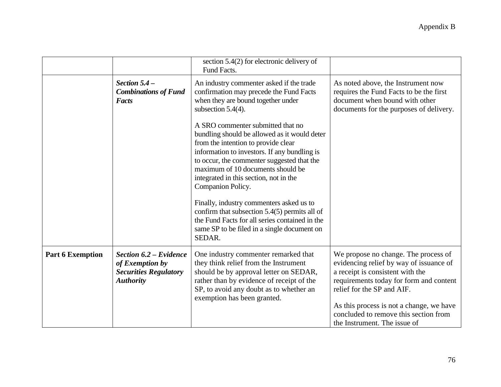|                         |                                                                                               | section $5.4(2)$ for electronic delivery of<br>Fund Facts.                                                                                                                                                                                                                                                                                                                                                                                                                                                                           |                                                                                                                                                                                                                                                                                                                   |
|-------------------------|-----------------------------------------------------------------------------------------------|--------------------------------------------------------------------------------------------------------------------------------------------------------------------------------------------------------------------------------------------------------------------------------------------------------------------------------------------------------------------------------------------------------------------------------------------------------------------------------------------------------------------------------------|-------------------------------------------------------------------------------------------------------------------------------------------------------------------------------------------------------------------------------------------------------------------------------------------------------------------|
|                         | Section $5.4-$<br><b>Combinations of Fund</b><br><b>Facts</b>                                 | An industry commenter asked if the trade<br>confirmation may precede the Fund Facts<br>when they are bound together under<br>subsection $5.4(4)$ .                                                                                                                                                                                                                                                                                                                                                                                   | As noted above, the Instrument now<br>requires the Fund Facts to be the first<br>document when bound with other<br>documents for the purposes of delivery.                                                                                                                                                        |
|                         |                                                                                               | A SRO commenter submitted that no<br>bundling should be allowed as it would deter<br>from the intention to provide clear<br>information to investors. If any bundling is<br>to occur, the commenter suggested that the<br>maximum of 10 documents should be<br>integrated in this section, not in the<br>Companion Policy.<br>Finally, industry commenters asked us to<br>confirm that subsection $5.4(5)$ permits all of<br>the Fund Facts for all series contained in the<br>same SP to be filed in a single document on<br>SEDAR. |                                                                                                                                                                                                                                                                                                                   |
| <b>Part 6 Exemption</b> | Section 6.2 – Evidence<br>of Exemption by<br><b>Securities Regulatory</b><br><b>Authority</b> | One industry commenter remarked that<br>they think relief from the Instrument<br>should be by approval letter on SEDAR,<br>rather than by evidence of receipt of the<br>SP, to avoid any doubt as to whether an<br>exemption has been granted.                                                                                                                                                                                                                                                                                       | We propose no change. The process of<br>evidencing relief by way of issuance of<br>a receipt is consistent with the<br>requirements today for form and content<br>relief for the SP and AIF.<br>As this process is not a change, we have<br>concluded to remove this section from<br>the Instrument. The issue of |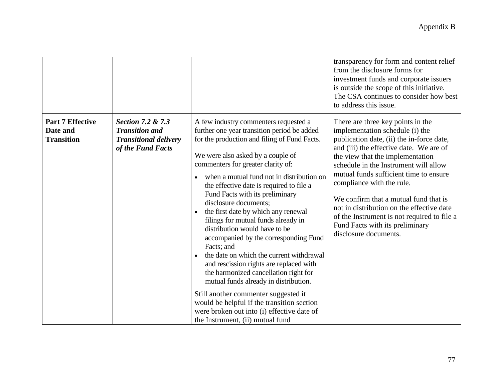|                                                          |                                                                                                 |                                                                                                                                                                                                                                                                                                                                                                                                                                                                                                                                                                                                                                                                                                                                                                                                                                                                                                          | transparency for form and content relief<br>from the disclosure forms for<br>investment funds and corporate issuers<br>is outside the scope of this initiative.<br>The CSA continues to consider how best<br>to address this issue.                                                                                                                                                                                                                                                                               |
|----------------------------------------------------------|-------------------------------------------------------------------------------------------------|----------------------------------------------------------------------------------------------------------------------------------------------------------------------------------------------------------------------------------------------------------------------------------------------------------------------------------------------------------------------------------------------------------------------------------------------------------------------------------------------------------------------------------------------------------------------------------------------------------------------------------------------------------------------------------------------------------------------------------------------------------------------------------------------------------------------------------------------------------------------------------------------------------|-------------------------------------------------------------------------------------------------------------------------------------------------------------------------------------------------------------------------------------------------------------------------------------------------------------------------------------------------------------------------------------------------------------------------------------------------------------------------------------------------------------------|
| <b>Part 7 Effective</b><br>Date and<br><b>Transition</b> | Section 7.2 & 7.3<br><b>Transition and</b><br><b>Transitional delivery</b><br>of the Fund Facts | A few industry commenters requested a<br>further one year transition period be added<br>for the production and filing of Fund Facts.<br>We were also asked by a couple of<br>commenters for greater clarity of:<br>when a mutual fund not in distribution on<br>the effective date is required to file a<br>Fund Facts with its preliminary<br>disclosure documents;<br>the first date by which any renewal<br>$\bullet$<br>filings for mutual funds already in<br>distribution would have to be<br>accompanied by the corresponding Fund<br>Facts; and<br>the date on which the current withdrawal<br>and rescission rights are replaced with<br>the harmonized cancellation right for<br>mutual funds already in distribution.<br>Still another commenter suggested it<br>would be helpful if the transition section<br>were broken out into (i) effective date of<br>the Instrument, (ii) mutual fund | There are three key points in the<br>implementation schedule (i) the<br>publication date, (ii) the in-force date,<br>and (iii) the effective date. We are of<br>the view that the implementation<br>schedule in the Instrument will allow<br>mutual funds sufficient time to ensure<br>compliance with the rule.<br>We confirm that a mutual fund that is<br>not in distribution on the effective date<br>of the Instrument is not required to file a<br>Fund Facts with its preliminary<br>disclosure documents. |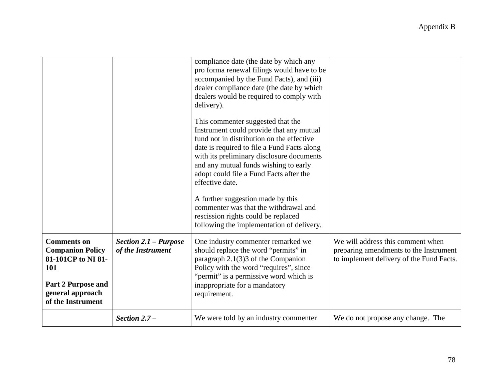|                                                                                                                                    |                                                   | compliance date (the date by which any<br>pro forma renewal filings would have to be<br>accompanied by the Fund Facts), and (iii)<br>dealer compliance date (the date by which<br>dealers would be required to comply with<br>delivery).<br>This commenter suggested that the<br>Instrument could provide that any mutual<br>fund not in distribution on the effective<br>date is required to file a Fund Facts along<br>with its preliminary disclosure documents<br>and any mutual funds wishing to early |                                                                                                                         |
|------------------------------------------------------------------------------------------------------------------------------------|---------------------------------------------------|-------------------------------------------------------------------------------------------------------------------------------------------------------------------------------------------------------------------------------------------------------------------------------------------------------------------------------------------------------------------------------------------------------------------------------------------------------------------------------------------------------------|-------------------------------------------------------------------------------------------------------------------------|
|                                                                                                                                    |                                                   | adopt could file a Fund Facts after the<br>effective date.                                                                                                                                                                                                                                                                                                                                                                                                                                                  |                                                                                                                         |
|                                                                                                                                    |                                                   | A further suggestion made by this<br>commenter was that the withdrawal and<br>rescission rights could be replaced<br>following the implementation of delivery.                                                                                                                                                                                                                                                                                                                                              |                                                                                                                         |
| <b>Comments on</b><br><b>Companion Policy</b><br>81-101CP to NI 81-<br><b>101</b><br><b>Part 2 Purpose and</b><br>general approach | <b>Section 2.1 - Purpose</b><br>of the Instrument | One industry commenter remarked we<br>should replace the word "permits" in<br>paragraph $2.1(3)3$ of the Companion<br>Policy with the word "requires", since<br>"permit" is a permissive word which is<br>inappropriate for a mandatory<br>requirement.                                                                                                                                                                                                                                                     | We will address this comment when<br>preparing amendments to the Instrument<br>to implement delivery of the Fund Facts. |
| of the Instrument                                                                                                                  | Section $2.7 -$                                   | We were told by an industry commenter                                                                                                                                                                                                                                                                                                                                                                                                                                                                       | We do not propose any change. The                                                                                       |
|                                                                                                                                    |                                                   |                                                                                                                                                                                                                                                                                                                                                                                                                                                                                                             |                                                                                                                         |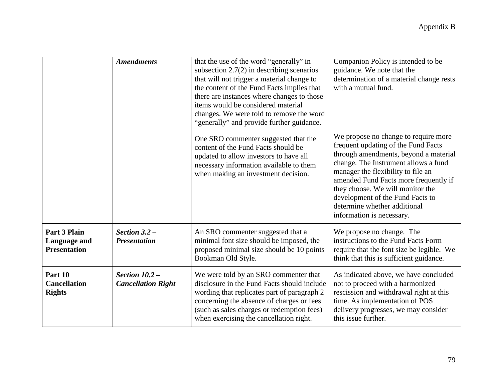|                                                     | <b>Amendments</b>                             | that the use of the word "generally" in<br>subsection $2.7(2)$ in describing scenarios<br>that will not trigger a material change to<br>the content of the Fund Facts implies that<br>there are instances where changes to those<br>items would be considered material<br>changes. We were told to remove the word<br>"generally" and provide further guidance.<br>One SRO commenter suggested that the<br>content of the Fund Facts should be<br>updated to allow investors to have all<br>necessary information available to them<br>when making an investment decision. | Companion Policy is intended to be<br>guidance. We note that the<br>determination of a material change rests<br>with a mutual fund.<br>We propose no change to require more<br>frequent updating of the Fund Facts<br>through amendments, beyond a material<br>change. The Instrument allows a fund<br>manager the flexibility to file an<br>amended Fund Facts more frequently if<br>they choose. We will monitor the<br>development of the Fund Facts to<br>determine whether additional<br>information is necessary. |
|-----------------------------------------------------|-----------------------------------------------|----------------------------------------------------------------------------------------------------------------------------------------------------------------------------------------------------------------------------------------------------------------------------------------------------------------------------------------------------------------------------------------------------------------------------------------------------------------------------------------------------------------------------------------------------------------------------|-------------------------------------------------------------------------------------------------------------------------------------------------------------------------------------------------------------------------------------------------------------------------------------------------------------------------------------------------------------------------------------------------------------------------------------------------------------------------------------------------------------------------|
| Part 3 Plain<br>Language and<br><b>Presentation</b> | Section $3.2$ –<br><b>Presentation</b>        | An SRO commenter suggested that a<br>minimal font size should be imposed, the<br>proposed minimal size should be 10 points<br>Bookman Old Style.                                                                                                                                                                                                                                                                                                                                                                                                                           | We propose no change. The<br>instructions to the Fund Facts Form<br>require that the font size be legible. We<br>think that this is sufficient guidance.                                                                                                                                                                                                                                                                                                                                                                |
| Part 10<br><b>Cancellation</b><br><b>Rights</b>     | Section $10.2 -$<br><b>Cancellation Right</b> | We were told by an SRO commenter that<br>disclosure in the Fund Facts should include<br>wording that replicates part of paragraph 2<br>concerning the absence of charges or fees<br>(such as sales charges or redemption fees)<br>when exercising the cancellation right.                                                                                                                                                                                                                                                                                                  | As indicated above, we have concluded<br>not to proceed with a harmonized<br>rescission and withdrawal right at this<br>time. As implementation of POS<br>delivery progresses, we may consider<br>this issue further.                                                                                                                                                                                                                                                                                                   |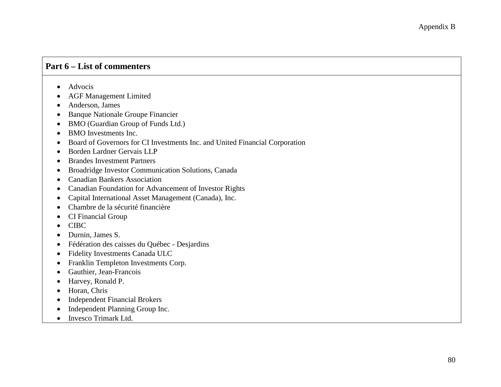## **Part 6 – List of commenters**

- Advocis
- AGF Management Limited
- Anderson, James
- Banque Nationale Groupe Financier
- BMO (Guardian Group of Funds Ltd.)
- BMO Investments Inc.
- Board of Governors for CI Investments Inc. and United Financial Corporation
- Borden Lardner Gervais LLP
- Brandes Investment Partners
- Broadridge Investor Communication Solutions, Canada
- Canadian Bankers Association
- Canadian Foundation for Advancement of Investor Rights
- Capital International Asset Management (Canada), Inc.
- Chambre de la sécurité financière
- CI Financial Group
- CIBC
- Durnin, James S.
- Fédération des caisses du Québec Desjardins
- Fidelity Investments Canada ULC
- Franklin Templeton Investments Corp.
- Gauthier, Jean-Francois
- Harvey, Ronald P.
- Horan, Chris
- Independent Financial Brokers
- Independent Planning Group Inc.
- Invesco Trimark Ltd.